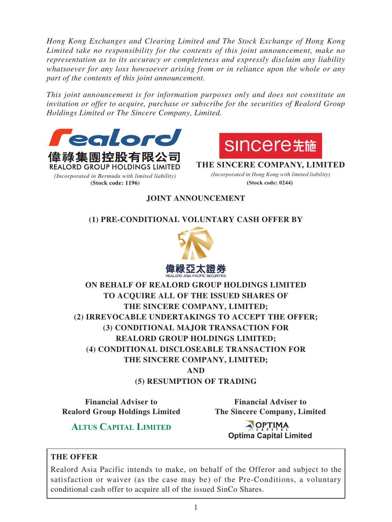*Hong Kong Exchanges and Clearing Limited and The Stock Exchange of Hong Kong Limited take no responsibility for the contents of this joint announcement, make no representation as to its accuracy or completeness and expressly disclaim any liability whatsoever for any loss howsoever arising from or in reliance upon the whole or any part of the contents of this joint announcement.*

*This joint announcement is for information purposes only and does not constitute an invitation or offer to acquire, purchase or subscribe for the securities of Realord Group Holdings Limited or The Sincere Company, Limited.*





**THE SINCERE COMPANY, LIMITED** *(Incorporated in Hong Kong with limited liability)* **(Stock code: 0244)**

## **JOINT ANNOUNCEMENT**

## **(1) PRE-CONDITIONAL VOLUNTARY CASH OFFER BY**



**ON BEHALF OF REALORD GROUP HOLDINGS LIMITED TO ACQUIRE ALL OF THE ISSUED SHARES OF THE SINCERE COMPANY, LIMITED; (2) IRREVOCABLE UNDERTAKINGS TO ACCEPT THE OFFER; (3) CONDITIONAL MAJOR TRANSACTION FOR REALORD GROUP HOLDINGS LIMITED; (4) CONDITIONAL DISCLOSEABLE TRANSACTION FOR THE SINCERE COMPANY, LIMITED; AND (5) RESUMPTION OF TRADING**

**Financial Adviser to Realord Group Holdings Limited** 

**Financial Adviser to The Sincere Company, Limited**

**ALTUS CAPITAL LIMITED**

AOPTIMA **Optima Capital Limited**

## **THE OFFER**

Realord Asia Pacific intends to make, on behalf of the Offeror and subject to the satisfaction or waiver (as the case may be) of the Pre-Conditions, a voluntary conditional cash offer to acquire all of the issued SinCo Shares.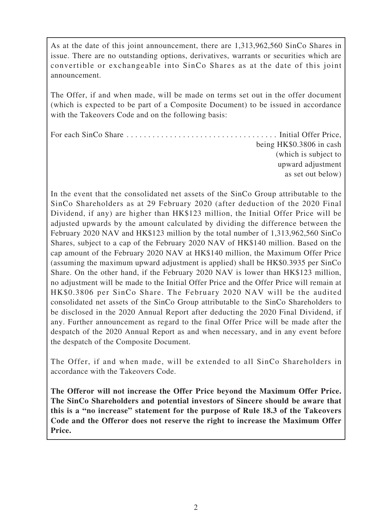As at the date of this joint announcement, there are 1,313,962,560 SinCo Shares in issue. There are no outstanding options, derivatives, warrants or securities which are convertible or exchangeable into SinCo Shares as at the date of this joint announcement.

The Offer, if and when made, will be made on terms set out in the offer document (which is expected to be part of a Composite Document) to be issued in accordance with the Takeovers Code and on the following basis:

For each SinCo Share . . . . . . . . . . . . . . . . . . . . . . . . . . . . . . . . . . . Initial Offer Price, being HK\$0.3806 in cash (which is subject to upward adjustment as set out below)

In the event that the consolidated net assets of the SinCo Group attributable to the SinCo Shareholders as at 29 February 2020 (after deduction of the 2020 Final Dividend, if any) are higher than HK\$123 million, the Initial Offer Price will be adjusted upwards by the amount calculated by dividing the difference between the February 2020 NAV and HK\$123 million by the total number of 1,313,962,560 SinCo Shares, subject to a cap of the February 2020 NAV of HK\$140 million. Based on the cap amount of the February 2020 NAV at HK\$140 million, the Maximum Offer Price (assuming the maximum upward adjustment is applied) shall be HK\$0.3935 per SinCo Share. On the other hand, if the February 2020 NAV is lower than HK\$123 million, no adjustment will be made to the Initial Offer Price and the Offer Price will remain at HK\$0.3806 per SinCo Share. The February 2020 NAV will be the audited consolidated net assets of the SinCo Group attributable to the SinCo Shareholders to be disclosed in the 2020 Annual Report after deducting the 2020 Final Dividend, if any. Further announcement as regard to the final Offer Price will be made after the despatch of the 2020 Annual Report as and when necessary, and in any event before the despatch of the Composite Document.

The Offer, if and when made, will be extended to all SinCo Shareholders in accordance with the Takeovers Code.

**The Offeror will not increase the Offer Price beyond the Maximum Offer Price. The SinCo Shareholders and potential investors of Sincere should be aware that this is a "no increase" statement for the purpose of Rule 18.3 of the Takeovers Code and the Offeror does not reserve the right to increase the Maximum Offer Price.**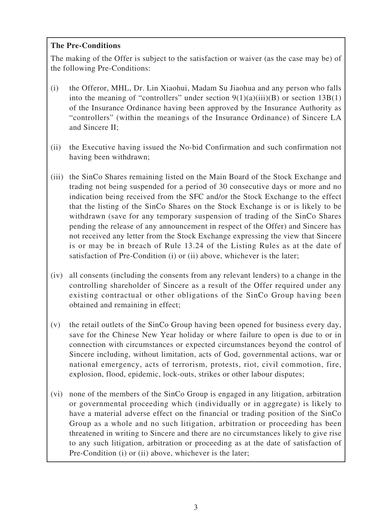## **The Pre-Conditions**

The making of the Offer is subject to the satisfaction or waiver (as the case may be) of the following Pre-Conditions:

- (i) the Offeror, MHL, Dr. Lin Xiaohui, Madam Su Jiaohua and any person who falls into the meaning of "controllers" under section  $9(1)(a)(iii)(B)$  or section  $13B(1)$ of the Insurance Ordinance having been approved by the Insurance Authority as "controllers" (within the meanings of the Insurance Ordinance) of Sincere LA and Sincere II;
- (ii) the Executive having issued the No-bid Confirmation and such confirmation not having been withdrawn;
- (iii) the SinCo Shares remaining listed on the Main Board of the Stock Exchange and trading not being suspended for a period of 30 consecutive days or more and no indication being received from the SFC and/or the Stock Exchange to the effect that the listing of the SinCo Shares on the Stock Exchange is or is likely to be withdrawn (save for any temporary suspension of trading of the SinCo Shares pending the release of any announcement in respect of the Offer) and Sincere has not received any letter from the Stock Exchange expressing the view that Sincere is or may be in breach of Rule 13.24 of the Listing Rules as at the date of satisfaction of Pre-Condition (i) or (ii) above, whichever is the later;
- (iv) all consents (including the consents from any relevant lenders) to a change in the controlling shareholder of Sincere as a result of the Offer required under any existing contractual or other obligations of the SinCo Group having been obtained and remaining in effect;
- (v) the retail outlets of the SinCo Group having been opened for business every day, save for the Chinese New Year holiday or where failure to open is due to or in connection with circumstances or expected circumstances beyond the control of Sincere including, without limitation, acts of God, governmental actions, war or national emergency, acts of terrorism, protests, riot, civil commotion, fire, explosion, flood, epidemic, lock-outs, strikes or other labour disputes;
- (vi) none of the members of the SinCo Group is engaged in any litigation, arbitration or governmental proceeding which (individually or in aggregate) is likely to have a material adverse effect on the financial or trading position of the SinCo Group as a whole and no such litigation, arbitration or proceeding has been threatened in writing to Sincere and there are no circumstances likely to give rise to any such litigation, arbitration or proceeding as at the date of satisfaction of Pre-Condition (i) or (ii) above, whichever is the later;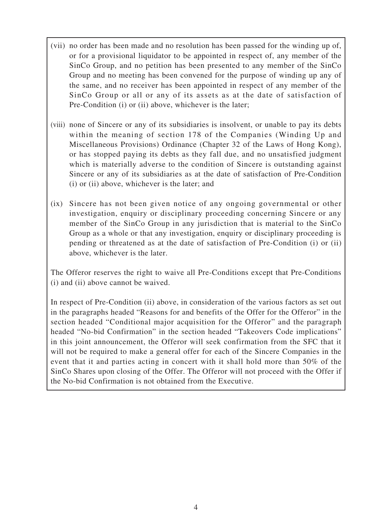- (vii) no order has been made and no resolution has been passed for the winding up of, or for a provisional liquidator to be appointed in respect of, any member of the SinCo Group, and no petition has been presented to any member of the SinCo Group and no meeting has been convened for the purpose of winding up any of the same, and no receiver has been appointed in respect of any member of the SinCo Group or all or any of its assets as at the date of satisfaction of Pre-Condition (i) or (ii) above, whichever is the later;
- (viii) none of Sincere or any of its subsidiaries is insolvent, or unable to pay its debts within the meaning of section 178 of the Companies (Winding Up and Miscellaneous Provisions) Ordinance (Chapter 32 of the Laws of Hong Kong), or has stopped paying its debts as they fall due, and no unsatisfied judgment which is materially adverse to the condition of Sincere is outstanding against Sincere or any of its subsidiaries as at the date of satisfaction of Pre-Condition (i) or (ii) above, whichever is the later; and
- (ix) Sincere has not been given notice of any ongoing governmental or other investigation, enquiry or disciplinary proceeding concerning Sincere or any member of the SinCo Group in any jurisdiction that is material to the SinCo Group as a whole or that any investigation, enquiry or disciplinary proceeding is pending or threatened as at the date of satisfaction of Pre-Condition (i) or (ii) above, whichever is the later.

The Offeror reserves the right to waive all Pre-Conditions except that Pre-Conditions (i) and (ii) above cannot be waived.

In respect of Pre-Condition (ii) above, in consideration of the various factors as set out in the paragraphs headed "Reasons for and benefits of the Offer for the Offeror" in the section headed "Conditional major acquisition for the Offeror" and the paragraph headed "No-bid Confirmation" in the section headed "Takeovers Code implications" in this joint announcement, the Offeror will seek confirmation from the SFC that it will not be required to make a general offer for each of the Sincere Companies in the event that it and parties acting in concert with it shall hold more than 50% of the SinCo Shares upon closing of the Offer. The Offeror will not proceed with the Offer if the No-bid Confirmation is not obtained from the Executive.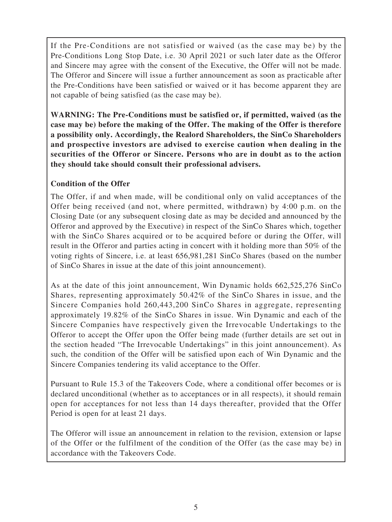If the Pre-Conditions are not satisfied or waived (as the case may be) by the Pre-Conditions Long Stop Date, i.e. 30 April 2021 or such later date as the Offeror and Sincere may agree with the consent of the Executive, the Offer will not be made. The Offeror and Sincere will issue a further announcement as soon as practicable after the Pre-Conditions have been satisfied or waived or it has become apparent they are not capable of being satisfied (as the case may be).

**WARNING: The Pre-Conditions must be satisfied or, if permitted, waived (as the case may be) before the making of the Offer. The making of the Offer is therefore a possibility only. Accordingly, the Realord Shareholders, the SinCo Shareholders and prospective investors are advised to exercise caution when dealing in the securities of the Offeror or Sincere. Persons who are in doubt as to the action they should take should consult their professional advisers.**

### **Condition of the Offer**

The Offer, if and when made, will be conditional only on valid acceptances of the Offer being received (and not, where permitted, withdrawn) by 4:00 p.m. on the Closing Date (or any subsequent closing date as may be decided and announced by the Offeror and approved by the Executive) in respect of the SinCo Shares which, together with the SinCo Shares acquired or to be acquired before or during the Offer, will result in the Offeror and parties acting in concert with it holding more than 50% of the voting rights of Sincere, i.e. at least 656,981,281 SinCo Shares (based on the number of SinCo Shares in issue at the date of this joint announcement).

As at the date of this joint announcement, Win Dynamic holds 662,525,276 SinCo Shares, representing approximately 50.42% of the SinCo Shares in issue, and the Sincere Companies hold 260,443,200 SinCo Shares in aggregate, representing approximately 19.82% of the SinCo Shares in issue. Win Dynamic and each of the Sincere Companies have respectively given the Irrevocable Undertakings to the Offeror to accept the Offer upon the Offer being made (further details are set out in the section headed "The Irrevocable Undertakings" in this joint announcement). As such, the condition of the Offer will be satisfied upon each of Win Dynamic and the Sincere Companies tendering its valid acceptance to the Offer.

Pursuant to Rule 15.3 of the Takeovers Code, where a conditional offer becomes or is declared unconditional (whether as to acceptances or in all respects), it should remain open for acceptances for not less than 14 days thereafter, provided that the Offer Period is open for at least 21 days.

The Offeror will issue an announcement in relation to the revision, extension or lapse of the Offer or the fulfilment of the condition of the Offer (as the case may be) in accordance with the Takeovers Code.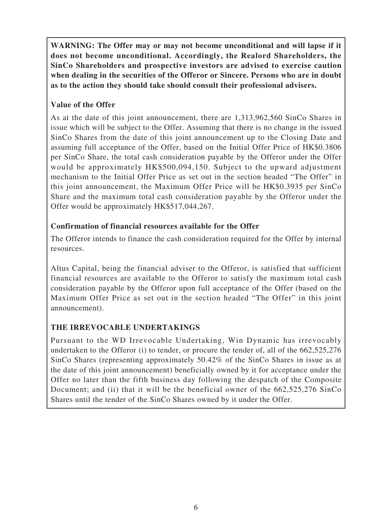**WARNING: The Offer may or may not become unconditional and will lapse if it does not become unconditional. Accordingly, the Realord Shareholders, the SinCo Shareholders and prospective investors are advised to exercise caution when dealing in the securities of the Offeror or Sincere. Persons who are in doubt as to the action they should take should consult their professional advisers.**

# **Value of the Offer**

As at the date of this joint announcement, there are 1,313,962,560 SinCo Shares in issue which will be subject to the Offer. Assuming that there is no change in the issued SinCo Shares from the date of this joint announcement up to the Closing Date and assuming full acceptance of the Offer, based on the Initial Offer Price of HK\$0.3806 per SinCo Share, the total cash consideration payable by the Offeror under the Offer would be approximately HK\$500,094,150. Subject to the upward adjustment mechanism to the Initial Offer Price as set out in the section headed "The Offer" in this joint announcement, the Maximum Offer Price will be HK\$0.3935 per SinCo Share and the maximum total cash consideration payable by the Offeror under the Offer would be approximately HK\$517,044,267.

## **Confirmation of financial resources available for the Offer**

The Offeror intends to finance the cash consideration required for the Offer by internal resources.

Altus Capital, being the financial adviser to the Offeror, is satisfied that sufficient financial resources are available to the Offeror to satisfy the maximum total cash consideration payable by the Offeror upon full acceptance of the Offer (based on the Maximum Offer Price as set out in the section headed "The Offer" in this joint announcement).

# **THE IRREVOCABLE UNDERTAKINGS**

Pursuant to the WD Irrevocable Undertaking, Win Dynamic has irrevocably undertaken to the Offeror (i) to tender, or procure the tender of, all of the 662,525,276 SinCo Shares (representing approximately 50.42% of the SinCo Shares in issue as at the date of this joint announcement) beneficially owned by it for acceptance under the Offer no later than the fifth business day following the despatch of the Composite Document; and (ii) that it will be the beneficial owner of the 662,525,276 SinCo Shares until the tender of the SinCo Shares owned by it under the Offer.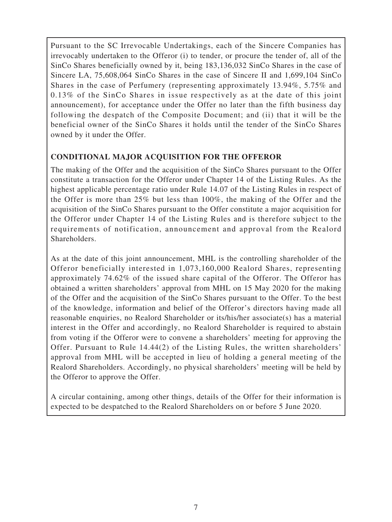Pursuant to the SC Irrevocable Undertakings, each of the Sincere Companies has irrevocably undertaken to the Offeror (i) to tender, or procure the tender of, all of the SinCo Shares beneficially owned by it, being 183,136,032 SinCo Shares in the case of Sincere LA, 75,608,064 SinCo Shares in the case of Sincere II and 1,699,104 SinCo Shares in the case of Perfumery (representing approximately 13.94%, 5.75% and 0.13% of the SinCo Shares in issue respectively as at the date of this joint announcement), for acceptance under the Offer no later than the fifth business day following the despatch of the Composite Document; and (ii) that it will be the beneficial owner of the SinCo Shares it holds until the tender of the SinCo Shares owned by it under the Offer.

## **CONDITIONAL MAJOR ACQUISITION FOR THE OFFEROR**

The making of the Offer and the acquisition of the SinCo Shares pursuant to the Offer constitute a transaction for the Offeror under Chapter 14 of the Listing Rules. As the highest applicable percentage ratio under Rule 14.07 of the Listing Rules in respect of the Offer is more than 25% but less than 100%, the making of the Offer and the acquisition of the SinCo Shares pursuant to the Offer constitute a major acquisition for the Offeror under Chapter 14 of the Listing Rules and is therefore subject to the requirements of notification, announcement and approval from the Realord Shareholders.

As at the date of this joint announcement, MHL is the controlling shareholder of the Offeror beneficially interested in 1,073,160,000 Realord Shares, representing approximately 74.62% of the issued share capital of the Offeror. The Offeror has obtained a written shareholders' approval from MHL on 15 May 2020 for the making of the Offer and the acquisition of the SinCo Shares pursuant to the Offer. To the best of the knowledge, information and belief of the Offeror's directors having made all reasonable enquiries, no Realord Shareholder or its/his/her associate(s) has a material interest in the Offer and accordingly, no Realord Shareholder is required to abstain from voting if the Offeror were to convene a shareholders' meeting for approving the Offer. Pursuant to Rule 14.44(2) of the Listing Rules, the written shareholders' approval from MHL will be accepted in lieu of holding a general meeting of the Realord Shareholders. Accordingly, no physical shareholders' meeting will be held by the Offeror to approve the Offer.

A circular containing, among other things, details of the Offer for their information is expected to be despatched to the Realord Shareholders on or before 5 June 2020.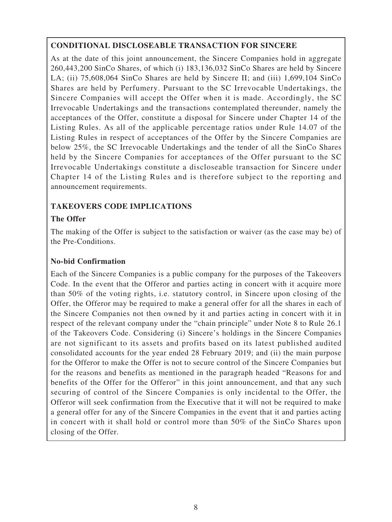## **CONDITIONAL DISCLOSEABLE TRANSACTION FOR SINCERE**

As at the date of this joint announcement, the Sincere Companies hold in aggregate 260,443,200 SinCo Shares, of which (i) 183,136,032 SinCo Shares are held by Sincere LA; (ii) 75,608,064 SinCo Shares are held by Sincere II; and (iii) 1,699,104 SinCo Shares are held by Perfumery. Pursuant to the SC Irrevocable Undertakings, the Sincere Companies will accept the Offer when it is made. Accordingly, the SC Irrevocable Undertakings and the transactions contemplated thereunder, namely the acceptances of the Offer, constitute a disposal for Sincere under Chapter 14 of the Listing Rules. As all of the applicable percentage ratios under Rule 14.07 of the Listing Rules in respect of acceptances of the Offer by the Sincere Companies are below 25%, the SC Irrevocable Undertakings and the tender of all the SinCo Shares held by the Sincere Companies for acceptances of the Offer pursuant to the SC Irrevocable Undertakings constitute a discloseable transaction for Sincere under Chapter 14 of the Listing Rules and is therefore subject to the reporting and announcement requirements.

## **TAKEOVERS CODE IMPLICATIONS**

## **The Offer**

The making of the Offer is subject to the satisfaction or waiver (as the case may be) of the Pre-Conditions.

### **No-bid Confirmation**

Each of the Sincere Companies is a public company for the purposes of the Takeovers Code. In the event that the Offeror and parties acting in concert with it acquire more than 50% of the voting rights, i.e. statutory control, in Sincere upon closing of the Offer, the Offeror may be required to make a general offer for all the shares in each of the Sincere Companies not then owned by it and parties acting in concert with it in respect of the relevant company under the "chain principle" under Note 8 to Rule 26.1 of the Takeovers Code. Considering (i) Sincere's holdings in the Sincere Companies are not significant to its assets and profits based on its latest published audited consolidated accounts for the year ended 28 February 2019; and (ii) the main purpose for the Offeror to make the Offer is not to secure control of the Sincere Companies but for the reasons and benefits as mentioned in the paragraph headed "Reasons for and benefits of the Offer for the Offeror" in this joint announcement, and that any such securing of control of the Sincere Companies is only incidental to the Offer, the Offeror will seek confirmation from the Executive that it will not be required to make a general offer for any of the Sincere Companies in the event that it and parties acting in concert with it shall hold or control more than 50% of the SinCo Shares upon closing of the Offer.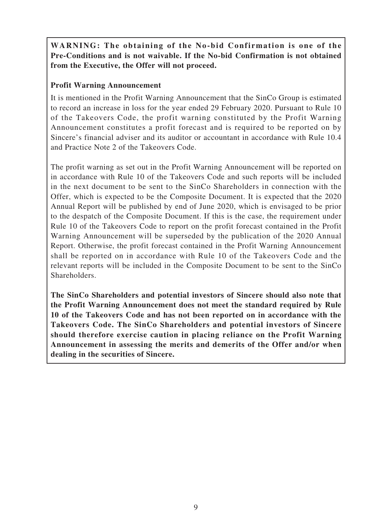# **WARNING: The obtaining of the No-bid Confirmation is one of the Pre-Conditions and is not waivable. If the No-bid Confirmation is not obtained from the Executive, the Offer will not proceed.**

## **Profit Warning Announcement**

It is mentioned in the Profit Warning Announcement that the SinCo Group is estimated to record an increase in loss for the year ended 29 February 2020. Pursuant to Rule 10 of the Takeovers Code, the profit warning constituted by the Profit Warning Announcement constitutes a profit forecast and is required to be reported on by Sincere's financial adviser and its auditor or accountant in accordance with Rule 10.4 and Practice Note 2 of the Takeovers Code.

The profit warning as set out in the Profit Warning Announcement will be reported on in accordance with Rule 10 of the Takeovers Code and such reports will be included in the next document to be sent to the SinCo Shareholders in connection with the Offer, which is expected to be the Composite Document. It is expected that the 2020 Annual Report will be published by end of June 2020, which is envisaged to be prior to the despatch of the Composite Document. If this is the case, the requirement under Rule 10 of the Takeovers Code to report on the profit forecast contained in the Profit Warning Announcement will be superseded by the publication of the 2020 Annual Report. Otherwise, the profit forecast contained in the Profit Warning Announcement shall be reported on in accordance with Rule 10 of the Takeovers Code and the relevant reports will be included in the Composite Document to be sent to the SinCo Shareholders.

**The SinCo Shareholders and potential investors of Sincere should also note that the Profit Warning Announcement does not meet the standard required by Rule 10 of the Takeovers Code and has not been reported on in accordance with the Takeovers Code. The SinCo Shareholders and potential investors of Sincere should therefore exercise caution in placing reliance on the Profit Warning Announcement in assessing the merits and demerits of the Offer and/or when dealing in the securities of Sincere.**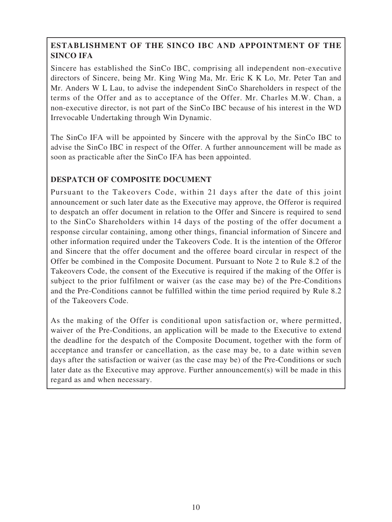# **ESTABLISHMENT OF THE SINCO IBC AND APPOINTMENT OF THE SINCO IFA**

Sincere has established the SinCo IBC, comprising all independent non-executive directors of Sincere, being Mr. King Wing Ma, Mr. Eric K K Lo, Mr. Peter Tan and Mr. Anders W L Lau, to advise the independent SinCo Shareholders in respect of the terms of the Offer and as to acceptance of the Offer. Mr. Charles M.W. Chan, a non-executive director, is not part of the SinCo IBC because of his interest in the WD Irrevocable Undertaking through Win Dynamic.

The SinCo IFA will be appointed by Sincere with the approval by the SinCo IBC to advise the SinCo IBC in respect of the Offer. A further announcement will be made as soon as practicable after the SinCo IFA has been appointed.

# **DESPATCH OF COMPOSITE DOCUMENT**

Pursuant to the Takeovers Code, within 21 days after the date of this joint announcement or such later date as the Executive may approve, the Offeror is required to despatch an offer document in relation to the Offer and Sincere is required to send to the SinCo Shareholders within 14 days of the posting of the offer document a response circular containing, among other things, financial information of Sincere and other information required under the Takeovers Code. It is the intention of the Offeror and Sincere that the offer document and the offeree board circular in respect of the Offer be combined in the Composite Document. Pursuant to Note 2 to Rule 8.2 of the Takeovers Code, the consent of the Executive is required if the making of the Offer is subject to the prior fulfilment or waiver (as the case may be) of the Pre-Conditions and the Pre-Conditions cannot be fulfilled within the time period required by Rule 8.2 of the Takeovers Code.

As the making of the Offer is conditional upon satisfaction or, where permitted, waiver of the Pre-Conditions, an application will be made to the Executive to extend the deadline for the despatch of the Composite Document, together with the form of acceptance and transfer or cancellation, as the case may be, to a date within seven days after the satisfaction or waiver (as the case may be) of the Pre-Conditions or such later date as the Executive may approve. Further announcement(s) will be made in this regard as and when necessary.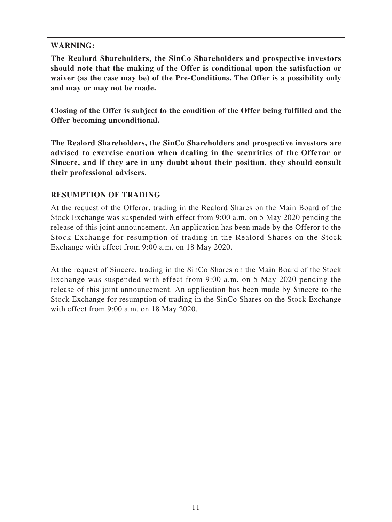## **WARNING:**

**The Realord Shareholders, the SinCo Shareholders and prospective investors should note that the making of the Offer is conditional upon the satisfaction or waiver (as the case may be) of the Pre-Conditions. The Offer is a possibility only and may or may not be made.**

**Closing of the Offer is subject to the condition of the Offer being fulfilled and the Offer becoming unconditional.**

**The Realord Shareholders, the SinCo Shareholders and prospective investors are advised to exercise caution when dealing in the securities of the Offeror or Sincere, and if they are in any doubt about their position, they should consult their professional advisers.**

## **RESUMPTION OF TRADING**

At the request of the Offeror, trading in the Realord Shares on the Main Board of the Stock Exchange was suspended with effect from 9:00 a.m. on 5 May 2020 pending the release of this joint announcement. An application has been made by the Offeror to the Stock Exchange for resumption of trading in the Realord Shares on the Stock Exchange with effect from 9:00 a.m. on 18 May 2020.

At the request of Sincere, trading in the SinCo Shares on the Main Board of the Stock Exchange was suspended with effect from 9:00 a.m. on 5 May 2020 pending the release of this joint announcement. An application has been made by Sincere to the Stock Exchange for resumption of trading in the SinCo Shares on the Stock Exchange with effect from 9:00 a.m. on 18 May 2020.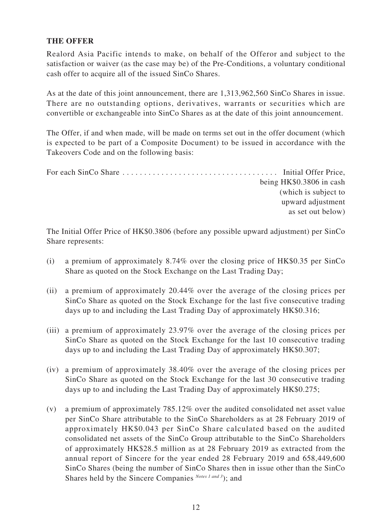### **THE OFFER**

Realord Asia Pacific intends to make, on behalf of the Offeror and subject to the satisfaction or waiver (as the case may be) of the Pre-Conditions, a voluntary conditional cash offer to acquire all of the issued SinCo Shares.

As at the date of this joint announcement, there are 1,313,962,560 SinCo Shares in issue. There are no outstanding options, derivatives, warrants or securities which are convertible or exchangeable into SinCo Shares as at the date of this joint announcement.

The Offer, if and when made, will be made on terms set out in the offer document (which is expected to be part of a Composite Document) to be issued in accordance with the Takeovers Code and on the following basis:

For each SinCo Share . . . . . . . . . . . . . . . . . . . . . . . . . . . . . . . . . . . . Initial Offer Price, being HK\$0.3806 in cash (which is subject to upward adjustment as set out below)

The Initial Offer Price of HK\$0.3806 (before any possible upward adjustment) per SinCo Share represents:

- (i) a premium of approximately 8.74% over the closing price of HK\$0.35 per SinCo Share as quoted on the Stock Exchange on the Last Trading Day;
- (ii) a premium of approximately 20.44% over the average of the closing prices per SinCo Share as quoted on the Stock Exchange for the last five consecutive trading days up to and including the Last Trading Day of approximately HK\$0.316;
- (iii) a premium of approximately 23.97% over the average of the closing prices per SinCo Share as quoted on the Stock Exchange for the last 10 consecutive trading days up to and including the Last Trading Day of approximately HK\$0.307;
- (iv) a premium of approximately 38.40% over the average of the closing prices per SinCo Share as quoted on the Stock Exchange for the last 30 consecutive trading days up to and including the Last Trading Day of approximately HK\$0.275;
- (v) a premium of approximately 785.12% over the audited consolidated net asset value per SinCo Share attributable to the SinCo Shareholders as at 28 February 2019 of approximately HK\$0.043 per SinCo Share calculated based on the audited consolidated net assets of the SinCo Group attributable to the SinCo Shareholders of approximately HK\$28.5 million as at 28 February 2019 as extracted from the annual report of Sincere for the year ended 28 February 2019 and 658,449,600 SinCo Shares (being the number of SinCo Shares then in issue other than the SinCo Shares held by the Sincere Companies *Notes 1 and 3*); and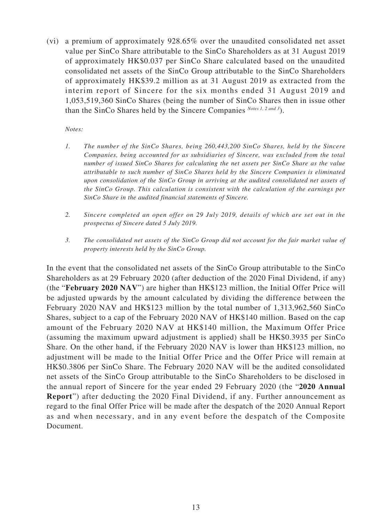(vi) a premium of approximately 928.65% over the unaudited consolidated net asset value per SinCo Share attributable to the SinCo Shareholders as at 31 August 2019 of approximately HK\$0.037 per SinCo Share calculated based on the unaudited consolidated net assets of the SinCo Group attributable to the SinCo Shareholders of approximately HK\$39.2 million as at 31 August 2019 as extracted from the interim report of Sincere for the six months ended 31 August 2019 and 1,053,519,360 SinCo Shares (being the number of SinCo Shares then in issue other than the SinCo Shares held by the Sincere Companies *Notes 1, 2 and 3*).

*Notes:*

- *1. The number of the SinCo Shares, being 260,443,200 SinCo Shares, held by the Sincere Companies, being accounted for as subsidiaries of Sincere, was excluded from the total number of issued SinCo Shares for calculating the net assets per SinCo Share as the value attributable to such number of SinCo Shares held by the Sincere Companies is eliminated upon consolidation of the SinCo Group in arriving at the audited consolidated net assets of the SinCo Group. This calculation is consistent with the calculation of the earnings per SinCo Share in the audited financial statements of Sincere.*
- *2. Sincere completed an open offer on 29 July 2019, details of which are set out in the prospectus of Sincere dated 5 July 2019.*
- *3. The consolidated net assets of the SinCo Group did not account for the fair market value of property interests held by the SinCo Group.*

In the event that the consolidated net assets of the SinCo Group attributable to the SinCo Shareholders as at 29 February 2020 (after deduction of the 2020 Final Dividend, if any) (the "**February 2020 NAV**") are higher than HK\$123 million, the Initial Offer Price will be adjusted upwards by the amount calculated by dividing the difference between the February 2020 NAV and HK\$123 million by the total number of 1,313,962,560 SinCo Shares, subject to a cap of the February 2020 NAV of HK\$140 million. Based on the cap amount of the February 2020 NAV at HK\$140 million, the Maximum Offer Price (assuming the maximum upward adjustment is applied) shall be HK\$0.3935 per SinCo Share. On the other hand, if the February 2020 NAV is lower than HK\$123 million, no adjustment will be made to the Initial Offer Price and the Offer Price will remain at HK\$0.3806 per SinCo Share. The February 2020 NAV will be the audited consolidated net assets of the SinCo Group attributable to the SinCo Shareholders to be disclosed in the annual report of Sincere for the year ended 29 February 2020 (the "**2020 Annual Report**") after deducting the 2020 Final Dividend, if any. Further announcement as regard to the final Offer Price will be made after the despatch of the 2020 Annual Report as and when necessary, and in any event before the despatch of the Composite Document.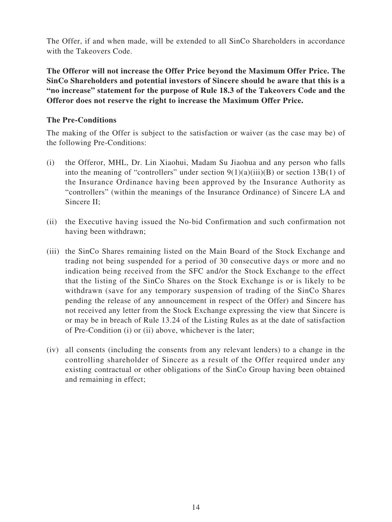The Offer, if and when made, will be extended to all SinCo Shareholders in accordance with the Takeovers Code.

**The Offeror will not increase the Offer Price beyond the Maximum Offer Price. The SinCo Shareholders and potential investors of Sincere should be aware that this is a "no increase" statement for the purpose of Rule 18.3 of the Takeovers Code and the Offeror does not reserve the right to increase the Maximum Offer Price.**

### **The Pre-Conditions**

The making of the Offer is subject to the satisfaction or waiver (as the case may be) of the following Pre-Conditions:

- (i) the Offeror, MHL, Dr. Lin Xiaohui, Madam Su Jiaohua and any person who falls into the meaning of "controllers" under section  $9(1)(a)(iii)(B)$  or section 13B(1) of the Insurance Ordinance having been approved by the Insurance Authority as "controllers" (within the meanings of the Insurance Ordinance) of Sincere LA and Sincere II;
- (ii) the Executive having issued the No-bid Confirmation and such confirmation not having been withdrawn;
- (iii) the SinCo Shares remaining listed on the Main Board of the Stock Exchange and trading not being suspended for a period of 30 consecutive days or more and no indication being received from the SFC and/or the Stock Exchange to the effect that the listing of the SinCo Shares on the Stock Exchange is or is likely to be withdrawn (save for any temporary suspension of trading of the SinCo Shares pending the release of any announcement in respect of the Offer) and Sincere has not received any letter from the Stock Exchange expressing the view that Sincere is or may be in breach of Rule 13.24 of the Listing Rules as at the date of satisfaction of Pre-Condition (i) or (ii) above, whichever is the later;
- (iv) all consents (including the consents from any relevant lenders) to a change in the controlling shareholder of Sincere as a result of the Offer required under any existing contractual or other obligations of the SinCo Group having been obtained and remaining in effect;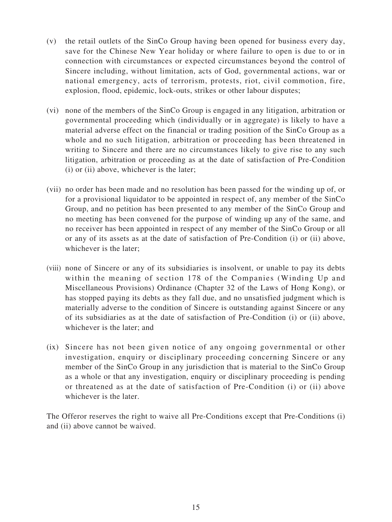- (v) the retail outlets of the SinCo Group having been opened for business every day, save for the Chinese New Year holiday or where failure to open is due to or in connection with circumstances or expected circumstances beyond the control of Sincere including, without limitation, acts of God, governmental actions, war or national emergency, acts of terrorism, protests, riot, civil commotion, fire, explosion, flood, epidemic, lock-outs, strikes or other labour disputes;
- (vi) none of the members of the SinCo Group is engaged in any litigation, arbitration or governmental proceeding which (individually or in aggregate) is likely to have a material adverse effect on the financial or trading position of the SinCo Group as a whole and no such litigation, arbitration or proceeding has been threatened in writing to Sincere and there are no circumstances likely to give rise to any such litigation, arbitration or proceeding as at the date of satisfaction of Pre-Condition (i) or (ii) above, whichever is the later;
- (vii) no order has been made and no resolution has been passed for the winding up of, or for a provisional liquidator to be appointed in respect of, any member of the SinCo Group, and no petition has been presented to any member of the SinCo Group and no meeting has been convened for the purpose of winding up any of the same, and no receiver has been appointed in respect of any member of the SinCo Group or all or any of its assets as at the date of satisfaction of Pre-Condition (i) or (ii) above, whichever is the later;
- (viii) none of Sincere or any of its subsidiaries is insolvent, or unable to pay its debts within the meaning of section 178 of the Companies (Winding Up and Miscellaneous Provisions) Ordinance (Chapter 32 of the Laws of Hong Kong), or has stopped paying its debts as they fall due, and no unsatisfied judgment which is materially adverse to the condition of Sincere is outstanding against Sincere or any of its subsidiaries as at the date of satisfaction of Pre-Condition (i) or (ii) above, whichever is the later; and
- (ix) Sincere has not been given notice of any ongoing governmental or other investigation, enquiry or disciplinary proceeding concerning Sincere or any member of the SinCo Group in any jurisdiction that is material to the SinCo Group as a whole or that any investigation, enquiry or disciplinary proceeding is pending or threatened as at the date of satisfaction of Pre-Condition (i) or (ii) above whichever is the later.

The Offeror reserves the right to waive all Pre-Conditions except that Pre-Conditions (i) and (ii) above cannot be waived.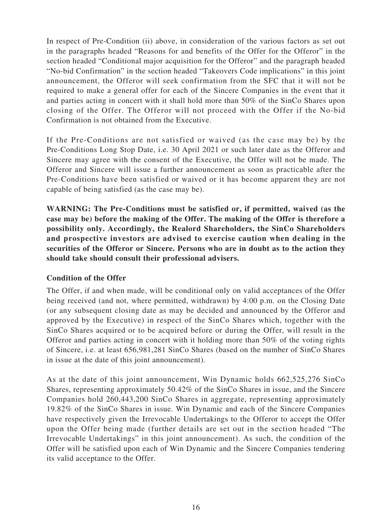In respect of Pre-Condition (ii) above, in consideration of the various factors as set out in the paragraphs headed "Reasons for and benefits of the Offer for the Offeror" in the section headed "Conditional major acquisition for the Offeror" and the paragraph headed "No-bid Confirmation" in the section headed "Takeovers Code implications" in this joint announcement, the Offeror will seek confirmation from the SFC that it will not be required to make a general offer for each of the Sincere Companies in the event that it and parties acting in concert with it shall hold more than 50% of the SinCo Shares upon closing of the Offer. The Offeror will not proceed with the Offer if the No-bid Confirmation is not obtained from the Executive.

If the Pre-Conditions are not satisfied or waived (as the case may be) by the Pre-Conditions Long Stop Date, i.e. 30 April 2021 or such later date as the Offeror and Sincere may agree with the consent of the Executive, the Offer will not be made. The Offeror and Sincere will issue a further announcement as soon as practicable after the Pre-Conditions have been satisfied or waived or it has become apparent they are not capable of being satisfied (as the case may be).

**WARNING: The Pre-Conditions must be satisfied or, if permitted, waived (as the case may be) before the making of the Offer. The making of the Offer is therefore a possibility only. Accordingly, the Realord Shareholders, the SinCo Shareholders and prospective investors are advised to exercise caution when dealing in the securities of the Offeror or Sincere. Persons who are in doubt as to the action they should take should consult their professional advisers.**

#### **Condition of the Offer**

The Offer, if and when made, will be conditional only on valid acceptances of the Offer being received (and not, where permitted, withdrawn) by 4:00 p.m. on the Closing Date (or any subsequent closing date as may be decided and announced by the Offeror and approved by the Executive) in respect of the SinCo Shares which, together with the SinCo Shares acquired or to be acquired before or during the Offer, will result in the Offeror and parties acting in concert with it holding more than 50% of the voting rights of Sincere, i.e. at least 656,981,281 SinCo Shares (based on the number of SinCo Shares in issue at the date of this joint announcement).

As at the date of this joint announcement, Win Dynamic holds 662,525,276 SinCo Shares, representing approximately 50.42% of the SinCo Shares in issue, and the Sincere Companies hold 260,443,200 SinCo Shares in aggregate, representing approximately 19.82% of the SinCo Shares in issue. Win Dynamic and each of the Sincere Companies have respectively given the Irrevocable Undertakings to the Offeror to accept the Offer upon the Offer being made (further details are set out in the section headed "The Irrevocable Undertakings" in this joint announcement). As such, the condition of the Offer will be satisfied upon each of Win Dynamic and the Sincere Companies tendering its valid acceptance to the Offer.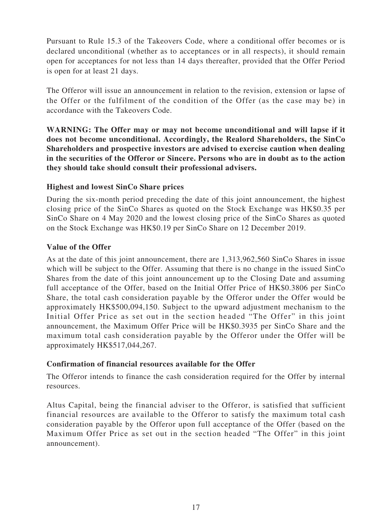Pursuant to Rule 15.3 of the Takeovers Code, where a conditional offer becomes or is declared unconditional (whether as to acceptances or in all respects), it should remain open for acceptances for not less than 14 days thereafter, provided that the Offer Period is open for at least 21 days.

The Offeror will issue an announcement in relation to the revision, extension or lapse of the Offer or the fulfilment of the condition of the Offer (as the case may be) in accordance with the Takeovers Code.

**WARNING: The Offer may or may not become unconditional and will lapse if it does not become unconditional. Accordingly, the Realord Shareholders, the SinCo Shareholders and prospective investors are advised to exercise caution when dealing in the securities of the Offeror or Sincere. Persons who are in doubt as to the action they should take should consult their professional advisers.**

### **Highest and lowest SinCo Share prices**

During the six-month period preceding the date of this joint announcement, the highest closing price of the SinCo Shares as quoted on the Stock Exchange was HK\$0.35 per SinCo Share on 4 May 2020 and the lowest closing price of the SinCo Shares as quoted on the Stock Exchange was HK\$0.19 per SinCo Share on 12 December 2019.

### **Value of the Offer**

As at the date of this joint announcement, there are 1,313,962,560 SinCo Shares in issue which will be subject to the Offer. Assuming that there is no change in the issued SinCo Shares from the date of this joint announcement up to the Closing Date and assuming full acceptance of the Offer, based on the Initial Offer Price of HK\$0.3806 per SinCo Share, the total cash consideration payable by the Offeror under the Offer would be approximately HK\$500,094,150. Subject to the upward adjustment mechanism to the Initial Offer Price as set out in the section headed "The Offer" in this joint announcement, the Maximum Offer Price will be HK\$0.3935 per SinCo Share and the maximum total cash consideration payable by the Offeror under the Offer will be approximately HK\$517,044,267.

#### **Confirmation of financial resources available for the Offer**

The Offeror intends to finance the cash consideration required for the Offer by internal resources.

Altus Capital, being the financial adviser to the Offeror, is satisfied that sufficient financial resources are available to the Offeror to satisfy the maximum total cash consideration payable by the Offeror upon full acceptance of the Offer (based on the Maximum Offer Price as set out in the section headed "The Offer" in this joint announcement).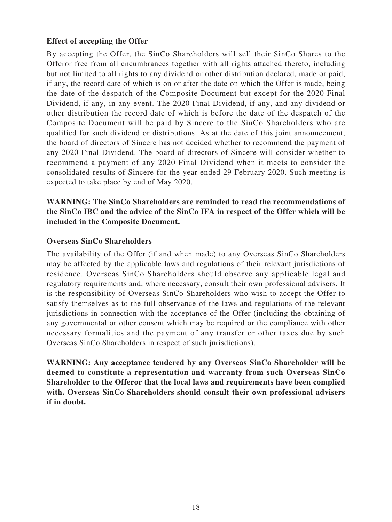#### **Effect of accepting the Offer**

By accepting the Offer, the SinCo Shareholders will sell their SinCo Shares to the Offeror free from all encumbrances together with all rights attached thereto, including but not limited to all rights to any dividend or other distribution declared, made or paid, if any, the record date of which is on or after the date on which the Offer is made, being the date of the despatch of the Composite Document but except for the 2020 Final Dividend, if any, in any event. The 2020 Final Dividend, if any, and any dividend or other distribution the record date of which is before the date of the despatch of the Composite Document will be paid by Sincere to the SinCo Shareholders who are qualified for such dividend or distributions. As at the date of this joint announcement, the board of directors of Sincere has not decided whether to recommend the payment of any 2020 Final Dividend. The board of directors of Sincere will consider whether to recommend a payment of any 2020 Final Dividend when it meets to consider the consolidated results of Sincere for the year ended 29 February 2020. Such meeting is expected to take place by end of May 2020.

### **WARNING: The SinCo Shareholders are reminded to read the recommendations of the SinCo IBC and the advice of the SinCo IFA in respect of the Offer which will be included in the Composite Document.**

#### **Overseas SinCo Shareholders**

The availability of the Offer (if and when made) to any Overseas SinCo Shareholders may be affected by the applicable laws and regulations of their relevant jurisdictions of residence. Overseas SinCo Shareholders should observe any applicable legal and regulatory requirements and, where necessary, consult their own professional advisers. It is the responsibility of Overseas SinCo Shareholders who wish to accept the Offer to satisfy themselves as to the full observance of the laws and regulations of the relevant jurisdictions in connection with the acceptance of the Offer (including the obtaining of any governmental or other consent which may be required or the compliance with other necessary formalities and the payment of any transfer or other taxes due by such Overseas SinCo Shareholders in respect of such jurisdictions).

**WARNING: Any acceptance tendered by any Overseas SinCo Shareholder will be deemed to constitute a representation and warranty from such Overseas SinCo Shareholder to the Offeror that the local laws and requirements have been complied with. Overseas SinCo Shareholders should consult their own professional advisers if in doubt.**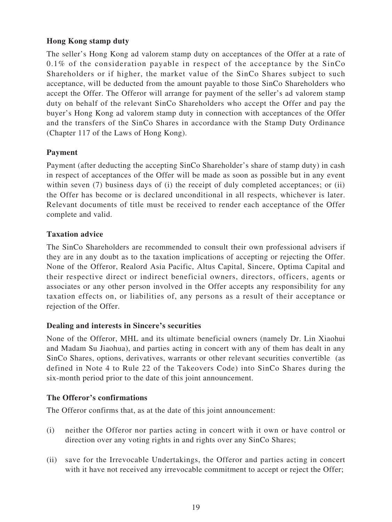### **Hong Kong stamp duty**

The seller's Hong Kong ad valorem stamp duty on acceptances of the Offer at a rate of 0.1% of the consideration payable in respect of the acceptance by the SinCo Shareholders or if higher, the market value of the SinCo Shares subject to such acceptance, will be deducted from the amount payable to those SinCo Shareholders who accept the Offer. The Offeror will arrange for payment of the seller's ad valorem stamp duty on behalf of the relevant SinCo Shareholders who accept the Offer and pay the buyer's Hong Kong ad valorem stamp duty in connection with acceptances of the Offer and the transfers of the SinCo Shares in accordance with the Stamp Duty Ordinance (Chapter 117 of the Laws of Hong Kong).

### **Payment**

Payment (after deducting the accepting SinCo Shareholder's share of stamp duty) in cash in respect of acceptances of the Offer will be made as soon as possible but in any event within seven (7) business days of (i) the receipt of duly completed acceptances; or (ii) the Offer has become or is declared unconditional in all respects, whichever is later. Relevant documents of title must be received to render each acceptance of the Offer complete and valid.

#### **Taxation advice**

The SinCo Shareholders are recommended to consult their own professional advisers if they are in any doubt as to the taxation implications of accepting or rejecting the Offer. None of the Offeror, Realord Asia Pacific, Altus Capital, Sincere, Optima Capital and their respective direct or indirect beneficial owners, directors, officers, agents or associates or any other person involved in the Offer accepts any responsibility for any taxation effects on, or liabilities of, any persons as a result of their acceptance or rejection of the Offer.

#### **Dealing and interests in Sincere's securities**

None of the Offeror, MHL and its ultimate beneficial owners (namely Dr. Lin Xiaohui and Madam Su Jiaohua), and parties acting in concert with any of them has dealt in any SinCo Shares, options, derivatives, warrants or other relevant securities convertible (as defined in Note 4 to Rule 22 of the Takeovers Code) into SinCo Shares during the six-month period prior to the date of this joint announcement.

#### **The Offeror's confirmations**

The Offeror confirms that, as at the date of this joint announcement:

- (i) neither the Offeror nor parties acting in concert with it own or have control or direction over any voting rights in and rights over any SinCo Shares;
- (ii) save for the Irrevocable Undertakings, the Offeror and parties acting in concert with it have not received any irrevocable commitment to accept or reject the Offer;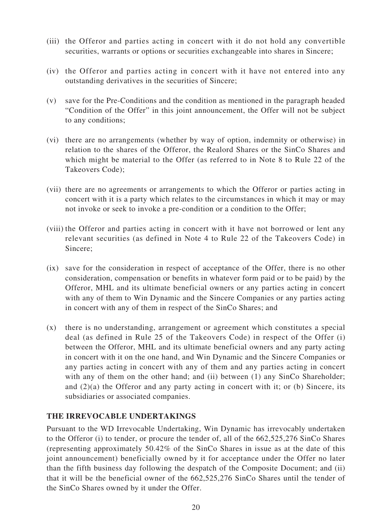- (iii) the Offeror and parties acting in concert with it do not hold any convertible securities, warrants or options or securities exchangeable into shares in Sincere;
- (iv) the Offeror and parties acting in concert with it have not entered into any outstanding derivatives in the securities of Sincere;
- (v) save for the Pre-Conditions and the condition as mentioned in the paragraph headed "Condition of the Offer" in this joint announcement, the Offer will not be subject to any conditions;
- (vi) there are no arrangements (whether by way of option, indemnity or otherwise) in relation to the shares of the Offeror, the Realord Shares or the SinCo Shares and which might be material to the Offer (as referred to in Note 8 to Rule 22 of the Takeovers Code);
- (vii) there are no agreements or arrangements to which the Offeror or parties acting in concert with it is a party which relates to the circumstances in which it may or may not invoke or seek to invoke a pre-condition or a condition to the Offer;
- (viii) the Offeror and parties acting in concert with it have not borrowed or lent any relevant securities (as defined in Note 4 to Rule 22 of the Takeovers Code) in Sincere;
- (ix) save for the consideration in respect of acceptance of the Offer, there is no other consideration, compensation or benefits in whatever form paid or to be paid) by the Offeror, MHL and its ultimate beneficial owners or any parties acting in concert with any of them to Win Dynamic and the Sincere Companies or any parties acting in concert with any of them in respect of the SinCo Shares; and
- (x) there is no understanding, arrangement or agreement which constitutes a special deal (as defined in Rule 25 of the Takeovers Code) in respect of the Offer (i) between the Offeror, MHL and its ultimate beneficial owners and any party acting in concert with it on the one hand, and Win Dynamic and the Sincere Companies or any parties acting in concert with any of them and any parties acting in concert with any of them on the other hand; and (ii) between (1) any SinCo Shareholder; and  $(2)(a)$  the Offeror and any party acting in concert with it; or (b) Sincere, its subsidiaries or associated companies.

#### **THE IRREVOCABLE UNDERTAKINGS**

Pursuant to the WD Irrevocable Undertaking, Win Dynamic has irrevocably undertaken to the Offeror (i) to tender, or procure the tender of, all of the 662,525,276 SinCo Shares (representing approximately 50.42% of the SinCo Shares in issue as at the date of this joint announcement) beneficially owned by it for acceptance under the Offer no later than the fifth business day following the despatch of the Composite Document; and (ii) that it will be the beneficial owner of the 662,525,276 SinCo Shares until the tender of the SinCo Shares owned by it under the Offer.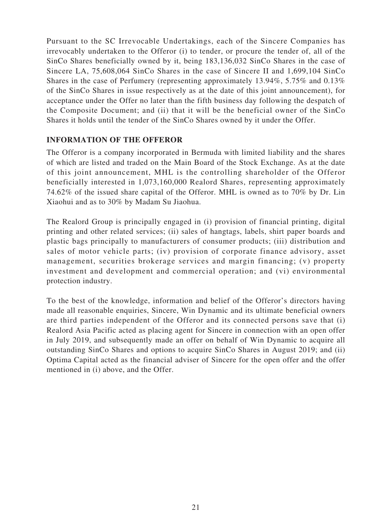Pursuant to the SC Irrevocable Undertakings, each of the Sincere Companies has irrevocably undertaken to the Offeror (i) to tender, or procure the tender of, all of the SinCo Shares beneficially owned by it, being 183,136,032 SinCo Shares in the case of Sincere LA, 75,608,064 SinCo Shares in the case of Sincere II and 1,699,104 SinCo Shares in the case of Perfumery (representing approximately 13.94%, 5.75% and 0.13% of the SinCo Shares in issue respectively as at the date of this joint announcement), for acceptance under the Offer no later than the fifth business day following the despatch of the Composite Document; and (ii) that it will be the beneficial owner of the SinCo Shares it holds until the tender of the SinCo Shares owned by it under the Offer.

### **INFORMATION OF THE OFFEROR**

The Offeror is a company incorporated in Bermuda with limited liability and the shares of which are listed and traded on the Main Board of the Stock Exchange. As at the date of this joint announcement, MHL is the controlling shareholder of the Offeror beneficially interested in 1,073,160,000 Realord Shares, representing approximately 74.62% of the issued share capital of the Offeror. MHL is owned as to 70% by Dr. Lin Xiaohui and as to 30% by Madam Su Jiaohua.

The Realord Group is principally engaged in (i) provision of financial printing, digital printing and other related services; (ii) sales of hangtags, labels, shirt paper boards and plastic bags principally to manufacturers of consumer products; (iii) distribution and sales of motor vehicle parts; (iv) provision of corporate finance advisory, asset management, securities brokerage services and margin financing; (v) property investment and development and commercial operation; and (vi) environmental protection industry.

To the best of the knowledge, information and belief of the Offeror's directors having made all reasonable enquiries, Sincere, Win Dynamic and its ultimate beneficial owners are third parties independent of the Offeror and its connected persons save that (i) Realord Asia Pacific acted as placing agent for Sincere in connection with an open offer in July 2019, and subsequently made an offer on behalf of Win Dynamic to acquire all outstanding SinCo Shares and options to acquire SinCo Shares in August 2019; and (ii) Optima Capital acted as the financial adviser of Sincere for the open offer and the offer mentioned in (i) above, and the Offer.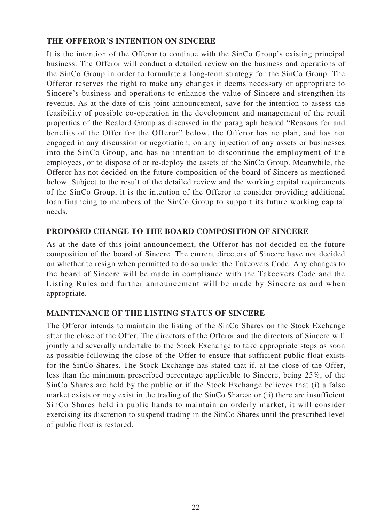#### **THE OFFEROR'S INTENTION ON SINCERE**

It is the intention of the Offeror to continue with the SinCo Group's existing principal business. The Offeror will conduct a detailed review on the business and operations of the SinCo Group in order to formulate a long-term strategy for the SinCo Group. The Offeror reserves the right to make any changes it deems necessary or appropriate to Sincere's business and operations to enhance the value of Sincere and strengthen its revenue. As at the date of this joint announcement, save for the intention to assess the feasibility of possible co-operation in the development and management of the retail properties of the Realord Group as discussed in the paragraph headed "Reasons for and benefits of the Offer for the Offeror" below, the Offeror has no plan, and has not engaged in any discussion or negotiation, on any injection of any assets or businesses into the SinCo Group, and has no intention to discontinue the employment of the employees, or to dispose of or re-deploy the assets of the SinCo Group. Meanwhile, the Offeror has not decided on the future composition of the board of Sincere as mentioned below. Subject to the result of the detailed review and the working capital requirements of the SinCo Group, it is the intention of the Offeror to consider providing additional loan financing to members of the SinCo Group to support its future working capital needs.

#### **PROPOSED CHANGE TO THE BOARD COMPOSITION OF SINCERE**

As at the date of this joint announcement, the Offeror has not decided on the future composition of the board of Sincere. The current directors of Sincere have not decided on whether to resign when permitted to do so under the Takeovers Code. Any changes to the board of Sincere will be made in compliance with the Takeovers Code and the Listing Rules and further announcement will be made by Sincere as and when appropriate.

#### **MAINTENANCE OF THE LISTING STATUS OF SINCERE**

The Offeror intends to maintain the listing of the SinCo Shares on the Stock Exchange after the close of the Offer. The directors of the Offeror and the directors of Sincere will jointly and severally undertake to the Stock Exchange to take appropriate steps as soon as possible following the close of the Offer to ensure that sufficient public float exists for the SinCo Shares. The Stock Exchange has stated that if, at the close of the Offer, less than the minimum prescribed percentage applicable to Sincere, being 25%, of the SinCo Shares are held by the public or if the Stock Exchange believes that (i) a false market exists or may exist in the trading of the SinCo Shares; or (ii) there are insufficient SinCo Shares held in public hands to maintain an orderly market, it will consider exercising its discretion to suspend trading in the SinCo Shares until the prescribed level of public float is restored.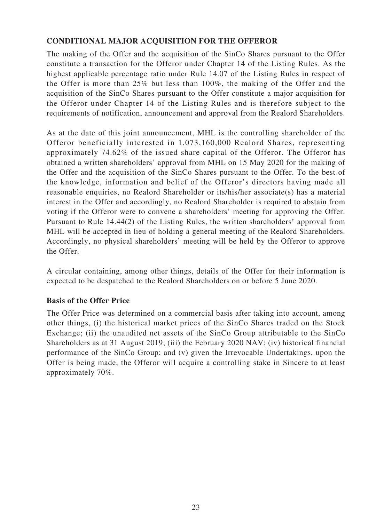## **CONDITIONAL MAJOR ACQUISITION FOR THE OFFEROR**

The making of the Offer and the acquisition of the SinCo Shares pursuant to the Offer constitute a transaction for the Offeror under Chapter 14 of the Listing Rules. As the highest applicable percentage ratio under Rule 14.07 of the Listing Rules in respect of the Offer is more than 25% but less than 100%, the making of the Offer and the acquisition of the SinCo Shares pursuant to the Offer constitute a major acquisition for the Offeror under Chapter 14 of the Listing Rules and is therefore subject to the requirements of notification, announcement and approval from the Realord Shareholders.

As at the date of this joint announcement, MHL is the controlling shareholder of the Offeror beneficially interested in 1,073,160,000 Realord Shares, representing approximately 74.62% of the issued share capital of the Offeror. The Offeror has obtained a written shareholders' approval from MHL on 15 May 2020 for the making of the Offer and the acquisition of the SinCo Shares pursuant to the Offer. To the best of the knowledge, information and belief of the Offeror's directors having made all reasonable enquiries, no Realord Shareholder or its/his/her associate(s) has a material interest in the Offer and accordingly, no Realord Shareholder is required to abstain from voting if the Offeror were to convene a shareholders' meeting for approving the Offer. Pursuant to Rule 14.44(2) of the Listing Rules, the written shareholders' approval from MHL will be accepted in lieu of holding a general meeting of the Realord Shareholders. Accordingly, no physical shareholders' meeting will be held by the Offeror to approve the Offer.

A circular containing, among other things, details of the Offer for their information is expected to be despatched to the Realord Shareholders on or before 5 June 2020.

## **Basis of the Offer Price**

The Offer Price was determined on a commercial basis after taking into account, among other things, (i) the historical market prices of the SinCo Shares traded on the Stock Exchange; (ii) the unaudited net assets of the SinCo Group attributable to the SinCo Shareholders as at 31 August 2019; (iii) the February 2020 NAV; (iv) historical financial performance of the SinCo Group; and (v) given the Irrevocable Undertakings, upon the Offer is being made, the Offeror will acquire a controlling stake in Sincere to at least approximately 70%.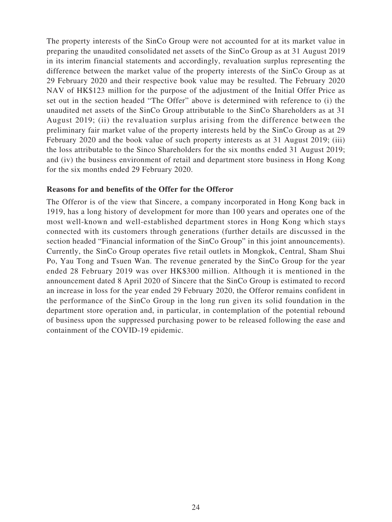The property interests of the SinCo Group were not accounted for at its market value in preparing the unaudited consolidated net assets of the SinCo Group as at 31 August 2019 in its interim financial statements and accordingly, revaluation surplus representing the difference between the market value of the property interests of the SinCo Group as at 29 February 2020 and their respective book value may be resulted. The February 2020 NAV of HK\$123 million for the purpose of the adjustment of the Initial Offer Price as set out in the section headed "The Offer" above is determined with reference to (i) the unaudited net assets of the SinCo Group attributable to the SinCo Shareholders as at 31 August 2019; (ii) the revaluation surplus arising from the difference between the preliminary fair market value of the property interests held by the SinCo Group as at 29 February 2020 and the book value of such property interests as at 31 August 2019; (iii) the loss attributable to the Sinco Shareholders for the six months ended 31 August 2019; and (iv) the business environment of retail and department store business in Hong Kong for the six months ended 29 February 2020.

#### **Reasons for and benefits of the Offer for the Offeror**

The Offeror is of the view that Sincere, a company incorporated in Hong Kong back in 1919, has a long history of development for more than 100 years and operates one of the most well-known and well-established department stores in Hong Kong which stays connected with its customers through generations (further details are discussed in the section headed "Financial information of the SinCo Group" in this joint announcements). Currently, the SinCo Group operates five retail outlets in Mongkok, Central, Sham Shui Po, Yau Tong and Tsuen Wan. The revenue generated by the SinCo Group for the year ended 28 February 2019 was over HK\$300 million. Although it is mentioned in the announcement dated 8 April 2020 of Sincere that the SinCo Group is estimated to record an increase in loss for the year ended 29 February 2020, the Offeror remains confident in the performance of the SinCo Group in the long run given its solid foundation in the department store operation and, in particular, in contemplation of the potential rebound of business upon the suppressed purchasing power to be released following the ease and containment of the COVID-19 epidemic.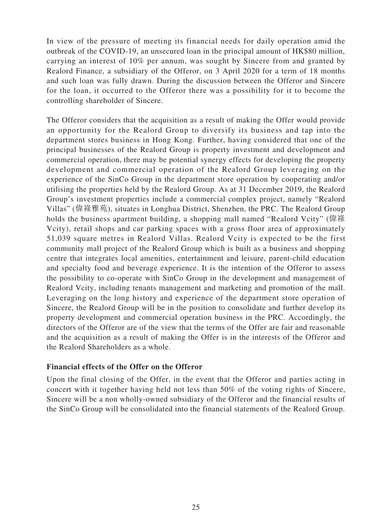In view of the pressure of meeting its financial needs for daily operation amid the outbreak of the COVID-19, an unsecured loan in the principal amount of HK\$80 million, carrying an interest of 10% per annum, was sought by Sincere from and granted by Realord Finance, a subsidiary of the Offeror, on 3 April 2020 for a term of 18 months and such loan was fully drawn. During the discussion between the Offeror and Sincere for the loan, it occurred to the Offeror there was a possibility for it to become the controlling shareholder of Sincere.

The Offeror considers that the acquisition as a result of making the Offer would provide an opportunity for the Realord Group to diversify its business and tap into the department stores business in Hong Kong. Further, having considered that one of the principal businesses of the Realord Group is property investment and development and commercial operation, there may be potential synergy effects for developing the property development and commercial operation of the Realord Group leveraging on the experience of the SinCo Group in the department store operation by cooperating and/or utilising the properties held by the Realord Group. As at 31 December 2019, the Realord Group's investment properties include a commercial complex project, namely "Realord Villas" (偉祿雅苑), situates in Longhua District, Shenzhen, the PRC. The Realord Group holds the business apartment building, a shopping mall named "Realord Vcity" (偉祿 Vcity), retail shops and car parking spaces with a gross floor area of approximately 51,039 square metres in Realord Villas. Realord Vcity is expected to be the first community mall project of the Realord Group which is built as a business and shopping centre that integrates local amenities, entertainment and leisure, parent-child education and specialty food and beverage experience. It is the intention of the Offeror to assess the possibility to co-operate with SinCo Group in the development and management of Realord Vcity, including tenants management and marketing and promotion of the mall. Leveraging on the long history and experience of the department store operation of Sincere, the Realord Group will be in the position to consolidate and further develop its property development and commercial operation business in the PRC. Accordingly, the directors of the Offeror are of the view that the terms of the Offer are fair and reasonable and the acquisition as a result of making the Offer is in the interests of the Offeror and the Realord Shareholders as a whole.

#### **Financial effects of the Offer on the Offeror**

Upon the final closing of the Offer, in the event that the Offeror and parties acting in concert with it together having held not less than 50% of the voting rights of Sincere, Sincere will be a non wholly-owned subsidiary of the Offeror and the financial results of the SinCo Group will be consolidated into the financial statements of the Realord Group.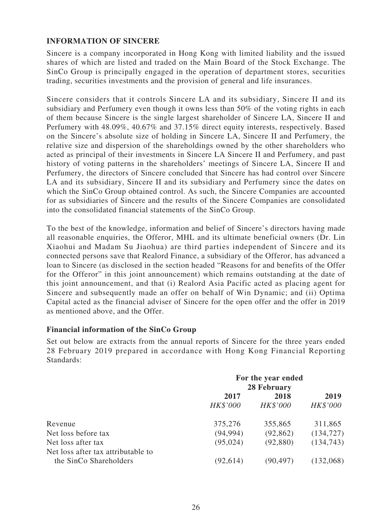#### **INFORMATION OF SINCERE**

Sincere is a company incorporated in Hong Kong with limited liability and the issued shares of which are listed and traded on the Main Board of the Stock Exchange. The SinCo Group is principally engaged in the operation of department stores, securities trading, securities investments and the provision of general and life insurances.

Sincere considers that it controls Sincere LA and its subsidiary, Sincere II and its subsidiary and Perfumery even though it owns less than 50% of the voting rights in each of them because Sincere is the single largest shareholder of Sincere LA, Sincere II and Perfumery with 48.09%, 40.67% and 37.15% direct equity interests, respectively. Based on the Sincere's absolute size of holding in Sincere LA, Sincere II and Perfumery, the relative size and dispersion of the shareholdings owned by the other shareholders who acted as principal of their investments in Sincere LA Sincere II and Perfumery, and past history of voting patterns in the shareholders' meetings of Sincere LA, Sincere II and Perfumery, the directors of Sincere concluded that Sincere has had control over Sincere LA and its subsidiary, Sincere II and its subsidiary and Perfumery since the dates on which the SinCo Group obtained control. As such, the Sincere Companies are accounted for as subsidiaries of Sincere and the results of the Sincere Companies are consolidated into the consolidated financial statements of the SinCo Group.

To the best of the knowledge, information and belief of Sincere's directors having made all reasonable enquiries, the Offeror, MHL and its ultimate beneficial owners (Dr. Lin Xiaohui and Madam Su Jiaohua) are third parties independent of Sincere and its connected persons save that Realord Finance, a subsidiary of the Offeror, has advanced a loan to Sincere (as disclosed in the section headed "Reasons for and benefits of the Offer for the Offeror" in this joint announcement) which remains outstanding at the date of this joint announcement, and that (i) Realord Asia Pacific acted as placing agent for Sincere and subsequently made an offer on behalf of Win Dynamic; and (ii) Optima Capital acted as the financial adviser of Sincere for the open offer and the offer in 2019 as mentioned above, and the Offer.

#### **Financial information of the SinCo Group**

Set out below are extracts from the annual reports of Sincere for the three years ended 28 February 2019 prepared in accordance with Hong Kong Financial Reporting Standards:

|                                                              | For the year ended<br>28 February |           |            |
|--------------------------------------------------------------|-----------------------------------|-----------|------------|
|                                                              | 2017                              | 2018      | 2019       |
|                                                              | HK\$'000                          | HK\$'000  | HK\$'000   |
| Revenue                                                      | 375,276                           | 355,865   | 311,865    |
| Net loss before tax                                          | (94, 994)                         | (92, 862) | (134, 727) |
| Net loss after tax                                           | (95, 024)                         | (92,880)  | (134, 743) |
| Net loss after tax attributable to<br>the SinCo Shareholders | (92, 614)                         | (90, 497) | (132,068)  |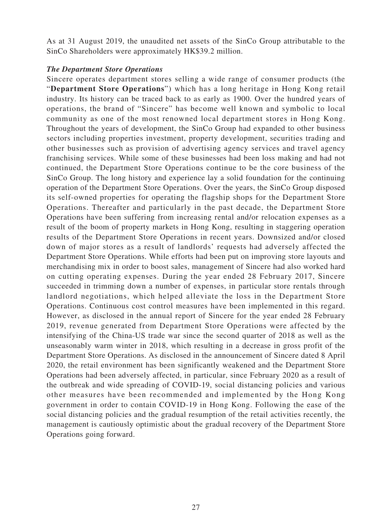As at 31 August 2019, the unaudited net assets of the SinCo Group attributable to the SinCo Shareholders were approximately HK\$39.2 million.

#### *The Department Store Operations*

Sincere operates department stores selling a wide range of consumer products (the "**Department Store Operations**") which has a long heritage in Hong Kong retail industry. Its history can be traced back to as early as 1900. Over the hundred years of operations, the brand of "Sincere" has become well known and symbolic to local community as one of the most renowned local department stores in Hong Kong. Throughout the years of development, the SinCo Group had expanded to other business sectors including properties investment, property development, securities trading and other businesses such as provision of advertising agency services and travel agency franchising services. While some of these businesses had been loss making and had not continued, the Department Store Operations continue to be the core business of the SinCo Group. The long history and experience lay a solid foundation for the continuing operation of the Department Store Operations. Over the years, the SinCo Group disposed its self-owned properties for operating the flagship shops for the Department Store Operations. Thereafter and particularly in the past decade, the Department Store Operations have been suffering from increasing rental and/or relocation expenses as a result of the boom of property markets in Hong Kong, resulting in staggering operation results of the Department Store Operations in recent years. Downsized and/or closed down of major stores as a result of landlords' requests had adversely affected the Department Store Operations. While efforts had been put on improving store layouts and merchandising mix in order to boost sales, management of Sincere had also worked hard on cutting operating expenses. During the year ended 28 February 2017, Sincere succeeded in trimming down a number of expenses, in particular store rentals through landlord negotiations, which helped alleviate the loss in the Department Store Operations. Continuous cost control measures have been implemented in this regard. However, as disclosed in the annual report of Sincere for the year ended 28 February 2019, revenue generated from Department Store Operations were affected by the intensifying of the China-US trade war since the second quarter of 2018 as well as the unseasonably warm winter in 2018, which resulting in a decrease in gross profit of the Department Store Operations. As disclosed in the announcement of Sincere dated 8 April 2020, the retail environment has been significantly weakened and the Department Store Operations had been adversely affected, in particular, since February 2020 as a result of the outbreak and wide spreading of COVID-19, social distancing policies and various other measures have been recommended and implemented by the Hong Kong government in order to contain COVID-19 in Hong Kong. Following the ease of the social distancing policies and the gradual resumption of the retail activities recently, the management is cautiously optimistic about the gradual recovery of the Department Store Operations going forward.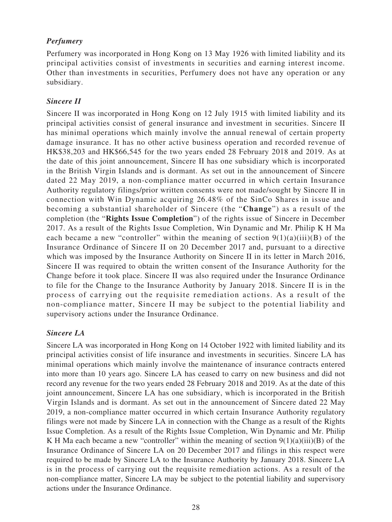### *Perfumery*

Perfumery was incorporated in Hong Kong on 13 May 1926 with limited liability and its principal activities consist of investments in securities and earning interest income. Other than investments in securities, Perfumery does not have any operation or any subsidiary.

#### *Sincere II*

Sincere II was incorporated in Hong Kong on 12 July 1915 with limited liability and its principal activities consist of general insurance and investment in securities. Sincere II has minimal operations which mainly involve the annual renewal of certain property damage insurance. It has no other active business operation and recorded revenue of HK\$38,203 and HK\$66,545 for the two years ended 28 February 2018 and 2019. As at the date of this joint announcement, Sincere II has one subsidiary which is incorporated in the British Virgin Islands and is dormant. As set out in the announcement of Sincere dated 22 May 2019, a non-compliance matter occurred in which certain Insurance Authority regulatory filings/prior written consents were not made/sought by Sincere II in connection with Win Dynamic acquiring 26.48% of the SinCo Shares in issue and becoming a substantial shareholder of Sincere (the "**Change**") as a result of the completion (the "**Rights Issue Completion**") of the rights issue of Sincere in December 2017. As a result of the Rights Issue Completion, Win Dynamic and Mr. Philip K H Ma each became a new "controller" within the meaning of section  $9(1)(a)(iii)(B)$  of the Insurance Ordinance of Sincere II on 20 December 2017 and, pursuant to a directive which was imposed by the Insurance Authority on Sincere II in its letter in March 2016, Sincere II was required to obtain the written consent of the Insurance Authority for the Change before it took place. Sincere II was also required under the Insurance Ordinance to file for the Change to the Insurance Authority by January 2018. Sincere II is in the process of carrying out the requisite remediation actions. As a result of the non-compliance matter, Sincere II may be subject to the potential liability and supervisory actions under the Insurance Ordinance.

#### *Sincere LA*

Sincere LA was incorporated in Hong Kong on 14 October 1922 with limited liability and its principal activities consist of life insurance and investments in securities. Sincere LA has minimal operations which mainly involve the maintenance of insurance contracts entered into more than 10 years ago. Sincere LA has ceased to carry on new business and did not record any revenue for the two years ended 28 February 2018 and 2019. As at the date of this joint announcement, Sincere LA has one subsidiary, which is incorporated in the British Virgin Islands and is dormant. As set out in the announcement of Sincere dated 22 May 2019, a non-compliance matter occurred in which certain Insurance Authority regulatory filings were not made by Sincere LA in connection with the Change as a result of the Rights Issue Completion. As a result of the Rights Issue Completion, Win Dynamic and Mr. Philip K H Ma each became a new "controller" within the meaning of section  $9(1)(a)(iii)(B)$  of the Insurance Ordinance of Sincere LA on 20 December 2017 and filings in this respect were required to be made by Sincere LA to the Insurance Authority by January 2018. Sincere LA is in the process of carrying out the requisite remediation actions. As a result of the non-compliance matter, Sincere LA may be subject to the potential liability and supervisory actions under the Insurance Ordinance.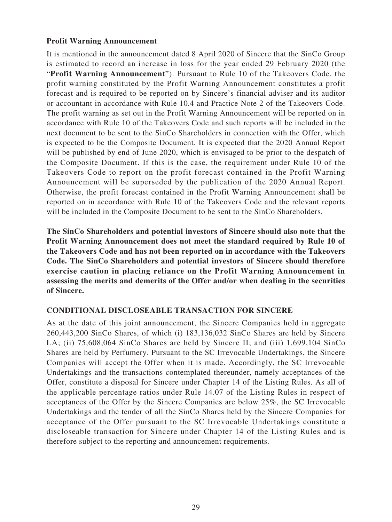#### **Profit Warning Announcement**

It is mentioned in the announcement dated 8 April 2020 of Sincere that the SinCo Group is estimated to record an increase in loss for the year ended 29 February 2020 (the "**Profit Warning Announcement**"). Pursuant to Rule 10 of the Takeovers Code, the profit warning constituted by the Profit Warning Announcement constitutes a profit forecast and is required to be reported on by Sincere's financial adviser and its auditor or accountant in accordance with Rule 10.4 and Practice Note 2 of the Takeovers Code. The profit warning as set out in the Profit Warning Announcement will be reported on in accordance with Rule 10 of the Takeovers Code and such reports will be included in the next document to be sent to the SinCo Shareholders in connection with the Offer, which is expected to be the Composite Document. It is expected that the 2020 Annual Report will be published by end of June 2020, which is envisaged to be prior to the despatch of the Composite Document. If this is the case, the requirement under Rule 10 of the Takeovers Code to report on the profit forecast contained in the Profit Warning Announcement will be superseded by the publication of the 2020 Annual Report. Otherwise, the profit forecast contained in the Profit Warning Announcement shall be reported on in accordance with Rule 10 of the Takeovers Code and the relevant reports will be included in the Composite Document to be sent to the SinCo Shareholders.

**The SinCo Shareholders and potential investors of Sincere should also note that the Profit Warning Announcement does not meet the standard required by Rule 10 of the Takeovers Code and has not been reported on in accordance with the Takeovers Code. The SinCo Shareholders and potential investors of Sincere should therefore exercise caution in placing reliance on the Profit Warning Announcement in assessing the merits and demerits of the Offer and/or when dealing in the securities of Sincere.**

#### **CONDITIONAL DISCLOSEABLE TRANSACTION FOR SINCERE**

As at the date of this joint announcement, the Sincere Companies hold in aggregate 260,443,200 SinCo Shares, of which (i) 183,136,032 SinCo Shares are held by Sincere LA; (ii) 75,608,064 SinCo Shares are held by Sincere II; and (iii) 1,699,104 SinCo Shares are held by Perfumery. Pursuant to the SC Irrevocable Undertakings, the Sincere Companies will accept the Offer when it is made. Accordingly, the SC Irrevocable Undertakings and the transactions contemplated thereunder, namely acceptances of the Offer, constitute a disposal for Sincere under Chapter 14 of the Listing Rules. As all of the applicable percentage ratios under Rule 14.07 of the Listing Rules in respect of acceptances of the Offer by the Sincere Companies are below 25%, the SC Irrevocable Undertakings and the tender of all the SinCo Shares held by the Sincere Companies for acceptance of the Offer pursuant to the SC Irrevocable Undertakings constitute a discloseable transaction for Sincere under Chapter 14 of the Listing Rules and is therefore subject to the reporting and announcement requirements.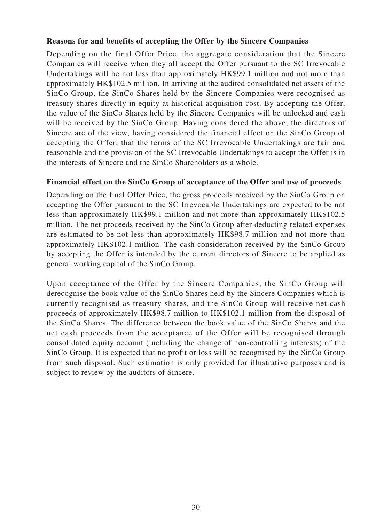#### **Reasons for and benefits of accepting the Offer by the Sincere Companies**

Depending on the final Offer Price, the aggregate consideration that the Sincere Companies will receive when they all accept the Offer pursuant to the SC Irrevocable Undertakings will be not less than approximately HK\$99.1 million and not more than approximately HK\$102.5 million. In arriving at the audited consolidated net assets of the SinCo Group, the SinCo Shares held by the Sincere Companies were recognised as treasury shares directly in equity at historical acquisition cost. By accepting the Offer, the value of the SinCo Shares held by the Sincere Companies will be unlocked and cash will be received by the SinCo Group. Having considered the above, the directors of Sincere are of the view, having considered the financial effect on the SinCo Group of accepting the Offer, that the terms of the SC Irrevocable Undertakings are fair and reasonable and the provision of the SC Irrevocable Undertakings to accept the Offer is in the interests of Sincere and the SinCo Shareholders as a whole.

#### **Financial effect on the SinCo Group of acceptance of the Offer and use of proceeds**

Depending on the final Offer Price, the gross proceeds received by the SinCo Group on accepting the Offer pursuant to the SC Irrevocable Undertakings are expected to be not less than approximately HK\$99.1 million and not more than approximately HK\$102.5 million. The net proceeds received by the SinCo Group after deducting related expenses are estimated to be not less than approximately HK\$98.7 million and not more than approximately HK\$102.1 million. The cash consideration received by the SinCo Group by accepting the Offer is intended by the current directors of Sincere to be applied as general working capital of the SinCo Group.

Upon acceptance of the Offer by the Sincere Companies, the SinCo Group will derecognise the book value of the SinCo Shares held by the Sincere Companies which is currently recognised as treasury shares, and the SinCo Group will receive net cash proceeds of approximately HK\$98.7 million to HK\$102.1 million from the disposal of the SinCo Shares. The difference between the book value of the SinCo Shares and the net cash proceeds from the acceptance of the Offer will be recognised through consolidated equity account (including the change of non-controlling interests) of the SinCo Group. It is expected that no profit or loss will be recognised by the SinCo Group from such disposal. Such estimation is only provided for illustrative purposes and is subject to review by the auditors of Sincere.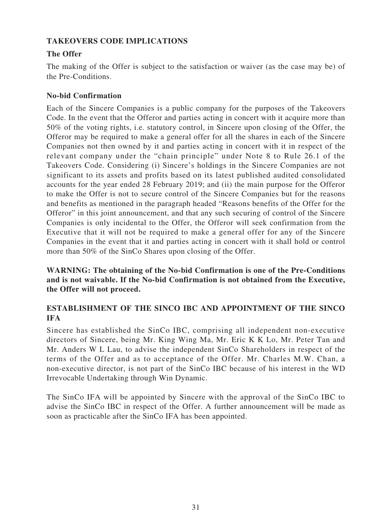### **TAKEOVERS CODE IMPLICATIONS**

## **The Offer**

The making of the Offer is subject to the satisfaction or waiver (as the case may be) of the Pre-Conditions.

#### **No-bid Confirmation**

Each of the Sincere Companies is a public company for the purposes of the Takeovers Code. In the event that the Offeror and parties acting in concert with it acquire more than 50% of the voting rights, i.e. statutory control, in Sincere upon closing of the Offer, the Offeror may be required to make a general offer for all the shares in each of the Sincere Companies not then owned by it and parties acting in concert with it in respect of the relevant company under the "chain principle" under Note 8 to Rule 26.1 of the Takeovers Code. Considering (i) Sincere's holdings in the Sincere Companies are not significant to its assets and profits based on its latest published audited consolidated accounts for the year ended 28 February 2019; and (ii) the main purpose for the Offeror to make the Offer is not to secure control of the Sincere Companies but for the reasons and benefits as mentioned in the paragraph headed "Reasons benefits of the Offer for the Offeror" in this joint announcement, and that any such securing of control of the Sincere Companies is only incidental to the Offer, the Offeror will seek confirmation from the Executive that it will not be required to make a general offer for any of the Sincere Companies in the event that it and parties acting in concert with it shall hold or control more than 50% of the SinCo Shares upon closing of the Offer.

**WARNING: The obtaining of the No-bid Confirmation is one of the Pre-Conditions and is not waivable. If the No-bid Confirmation is not obtained from the Executive, the Offer will not proceed.**

### **ESTABLISHMENT OF THE SINCO IBC AND APPOINTMENT OF THE SINCO IFA**

Sincere has established the SinCo IBC, comprising all independent non-executive directors of Sincere, being Mr. King Wing Ma, Mr. Eric K K Lo, Mr. Peter Tan and Mr. Anders W L Lau, to advise the independent SinCo Shareholders in respect of the terms of the Offer and as to acceptance of the Offer. Mr. Charles M.W. Chan, a non-executive director, is not part of the SinCo IBC because of his interest in the WD Irrevocable Undertaking through Win Dynamic.

The SinCo IFA will be appointed by Sincere with the approval of the SinCo IBC to advise the SinCo IBC in respect of the Offer. A further announcement will be made as soon as practicable after the SinCo IFA has been appointed.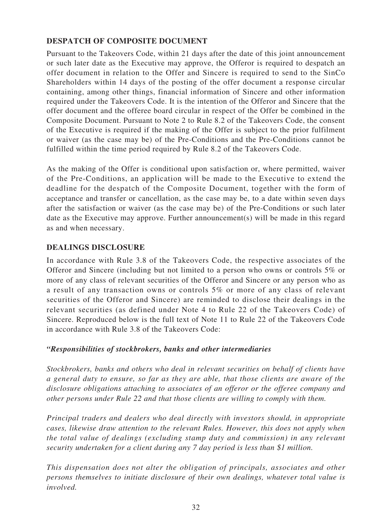## **DESPATCH OF COMPOSITE DOCUMENT**

Pursuant to the Takeovers Code, within 21 days after the date of this joint announcement or such later date as the Executive may approve, the Offeror is required to despatch an offer document in relation to the Offer and Sincere is required to send to the SinCo Shareholders within 14 days of the posting of the offer document a response circular containing, among other things, financial information of Sincere and other information required under the Takeovers Code. It is the intention of the Offeror and Sincere that the offer document and the offeree board circular in respect of the Offer be combined in the Composite Document. Pursuant to Note 2 to Rule 8.2 of the Takeovers Code, the consent of the Executive is required if the making of the Offer is subject to the prior fulfilment or waiver (as the case may be) of the Pre-Conditions and the Pre-Conditions cannot be fulfilled within the time period required by Rule 8.2 of the Takeovers Code.

As the making of the Offer is conditional upon satisfaction or, where permitted, waiver of the Pre-Conditions, an application will be made to the Executive to extend the deadline for the despatch of the Composite Document, together with the form of acceptance and transfer or cancellation, as the case may be, to a date within seven days after the satisfaction or waiver (as the case may be) of the Pre-Conditions or such later date as the Executive may approve. Further announcement(s) will be made in this regard as and when necessary.

### **DEALINGS DISCLOSURE**

In accordance with Rule 3.8 of the Takeovers Code, the respective associates of the Offeror and Sincere (including but not limited to a person who owns or controls 5% or more of any class of relevant securities of the Offeror and Sincere or any person who as a result of any transaction owns or controls 5% or more of any class of relevant securities of the Offeror and Sincere) are reminded to disclose their dealings in the relevant securities (as defined under Note 4 to Rule 22 of the Takeovers Code) of Sincere. Reproduced below is the full text of Note 11 to Rule 22 of the Takeovers Code in accordance with Rule 3.8 of the Takeovers Code:

#### *"Responsibilities of stockbrokers, banks and other intermediaries*

*Stockbrokers, banks and others who deal in relevant securities on behalf of clients have a general duty to ensure, so far as they are able, that those clients are aware of the disclosure obligations attaching to associates of an offeror or the offeree company and other persons under Rule 22 and that those clients are willing to comply with them.*

*Principal traders and dealers who deal directly with investors should, in appropriate cases, likewise draw attention to the relevant Rules. However, this does not apply when the total value of dealings (excluding stamp duty and commission) in any relevant security undertaken for a client during any 7 day period is less than \$1 million.*

*This dispensation does not alter the obligation of principals, associates and other persons themselves to initiate disclosure of their own dealings, whatever total value is involved.*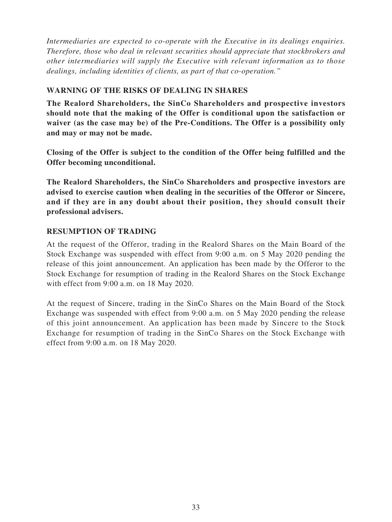*Intermediaries are expected to co-operate with the Executive in its dealings enquiries. Therefore, those who deal in relevant securities should appreciate that stockbrokers and other intermediaries will supply the Executive with relevant information as to those dealings, including identities of clients, as part of that co-operation."*

### **WARNING OF THE RISKS OF DEALING IN SHARES**

**The Realord Shareholders, the SinCo Shareholders and prospective investors should note that the making of the Offer is conditional upon the satisfaction or waiver (as the case may be) of the Pre-Conditions. The Offer is a possibility only and may or may not be made.**

**Closing of the Offer is subject to the condition of the Offer being fulfilled and the Offer becoming unconditional.**

**The Realord Shareholders, the SinCo Shareholders and prospective investors are advised to exercise caution when dealing in the securities of the Offeror or Sincere, and if they are in any doubt about their position, they should consult their professional advisers.**

### **RESUMPTION OF TRADING**

At the request of the Offeror, trading in the Realord Shares on the Main Board of the Stock Exchange was suspended with effect from 9:00 a.m. on 5 May 2020 pending the release of this joint announcement. An application has been made by the Offeror to the Stock Exchange for resumption of trading in the Realord Shares on the Stock Exchange with effect from 9:00 a.m. on 18 May 2020.

At the request of Sincere, trading in the SinCo Shares on the Main Board of the Stock Exchange was suspended with effect from 9:00 a.m. on 5 May 2020 pending the release of this joint announcement. An application has been made by Sincere to the Stock Exchange for resumption of trading in the SinCo Shares on the Stock Exchange with effect from 9:00 a.m. on 18 May 2020.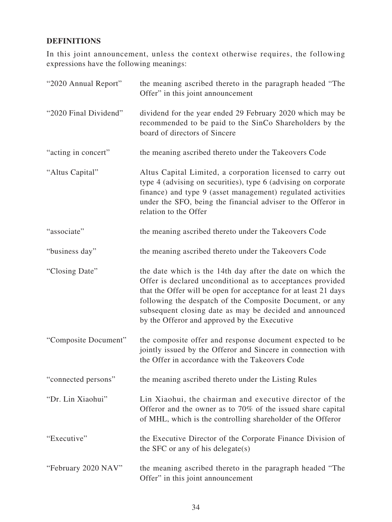## **DEFINITIONS**

In this joint announcement, unless the context otherwise requires, the following expressions have the following meanings:

| "2020 Annual Report"  | the meaning ascribed thereto in the paragraph headed "The<br>Offer" in this joint announcement                                                                                                                                                                                                                                                                     |
|-----------------------|--------------------------------------------------------------------------------------------------------------------------------------------------------------------------------------------------------------------------------------------------------------------------------------------------------------------------------------------------------------------|
| "2020 Final Dividend" | dividend for the year ended 29 February 2020 which may be<br>recommended to be paid to the SinCo Shareholders by the<br>board of directors of Sincere                                                                                                                                                                                                              |
| "acting in concert"   | the meaning ascribed thereto under the Takeovers Code                                                                                                                                                                                                                                                                                                              |
| "Altus Capital"       | Altus Capital Limited, a corporation licensed to carry out<br>type 4 (advising on securities), type 6 (advising on corporate<br>finance) and type 9 (asset management) regulated activities<br>under the SFO, being the financial adviser to the Offeror in<br>relation to the Offer                                                                               |
| "associate"           | the meaning ascribed thereto under the Takeovers Code                                                                                                                                                                                                                                                                                                              |
| "business day"        | the meaning ascribed thereto under the Takeovers Code                                                                                                                                                                                                                                                                                                              |
| "Closing Date"        | the date which is the 14th day after the date on which the<br>Offer is declared unconditional as to acceptances provided<br>that the Offer will be open for acceptance for at least 21 days<br>following the despatch of the Composite Document, or any<br>subsequent closing date as may be decided and announced<br>by the Offeror and approved by the Executive |
| "Composite Document"  | the composite offer and response document expected to be<br>jointly issued by the Offeror and Sincere in connection with<br>the Offer in accordance with the Takeovers Code                                                                                                                                                                                        |
| "connected persons"   | the meaning ascribed thereto under the Listing Rules                                                                                                                                                                                                                                                                                                               |
| "Dr. Lin Xiaohui"     | Lin Xiaohui, the chairman and executive director of the<br>Offeror and the owner as to 70% of the issued share capital<br>of MHL, which is the controlling shareholder of the Offeror                                                                                                                                                                              |
| "Executive"           | the Executive Director of the Corporate Finance Division of<br>the SFC or any of his delegate $(s)$                                                                                                                                                                                                                                                                |
| "February 2020 NAV"   | the meaning ascribed thereto in the paragraph headed "The<br>Offer" in this joint announcement                                                                                                                                                                                                                                                                     |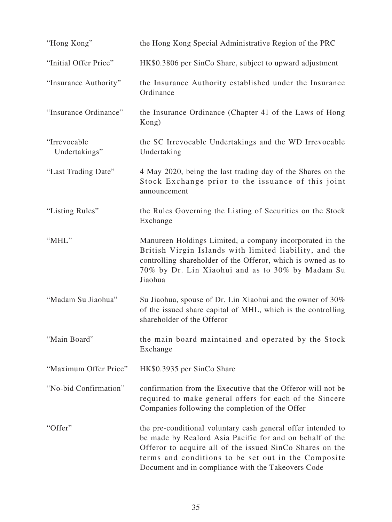| "Hong Kong"                   | the Hong Kong Special Administrative Region of the PRC                                                                                                                                                                                                                                            |
|-------------------------------|---------------------------------------------------------------------------------------------------------------------------------------------------------------------------------------------------------------------------------------------------------------------------------------------------|
| "Initial Offer Price"         | HK\$0.3806 per SinCo Share, subject to upward adjustment                                                                                                                                                                                                                                          |
| "Insurance Authority"         | the Insurance Authority established under the Insurance<br>Ordinance                                                                                                                                                                                                                              |
| "Insurance Ordinance"         | the Insurance Ordinance (Chapter 41 of the Laws of Hong<br>Kong)                                                                                                                                                                                                                                  |
| "Irrevocable<br>Undertakings" | the SC Irrevocable Undertakings and the WD Irrevocable<br>Undertaking                                                                                                                                                                                                                             |
| "Last Trading Date"           | 4 May 2020, being the last trading day of the Shares on the<br>Stock Exchange prior to the issuance of this joint<br>announcement                                                                                                                                                                 |
| "Listing Rules"               | the Rules Governing the Listing of Securities on the Stock<br>Exchange                                                                                                                                                                                                                            |
| "MHL"                         | Manureen Holdings Limited, a company incorporated in the<br>British Virgin Islands with limited liability, and the<br>controlling shareholder of the Offeror, which is owned as to<br>70% by Dr. Lin Xiaohui and as to 30% by Madam Su<br>Jiaohua                                                 |
| "Madam Su Jiaohua"            | Su Jiaohua, spouse of Dr. Lin Xiaohui and the owner of 30%<br>of the issued share capital of MHL, which is the controlling<br>shareholder of the Offeror                                                                                                                                          |
| "Main Board"                  | the main board maintained and operated by the Stock<br>Exchange                                                                                                                                                                                                                                   |
| "Maximum Offer Price"         | HK\$0.3935 per SinCo Share                                                                                                                                                                                                                                                                        |
| "No-bid Confirmation"         | confirmation from the Executive that the Offeror will not be<br>required to make general offers for each of the Sincere<br>Companies following the completion of the Offer                                                                                                                        |
| "Offer"                       | the pre-conditional voluntary cash general offer intended to<br>be made by Realord Asia Pacific for and on behalf of the<br>Offeror to acquire all of the issued SinCo Shares on the<br>terms and conditions to be set out in the Composite<br>Document and in compliance with the Takeovers Code |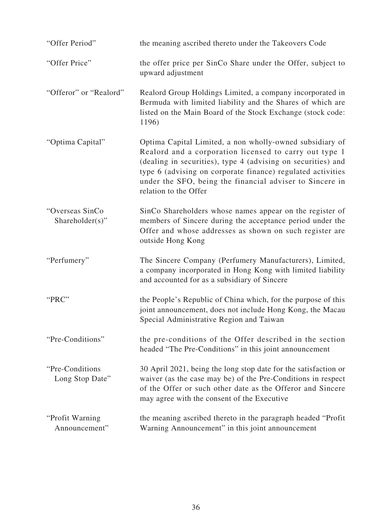| "Offer Period"                     | the meaning ascribed thereto under the Takeovers Code                                                                                                                                                                                                                                                                                  |
|------------------------------------|----------------------------------------------------------------------------------------------------------------------------------------------------------------------------------------------------------------------------------------------------------------------------------------------------------------------------------------|
| "Offer Price"                      | the offer price per SinCo Share under the Offer, subject to<br>upward adjustment                                                                                                                                                                                                                                                       |
| "Offeror" or "Realord"             | Realord Group Holdings Limited, a company incorporated in<br>Bermuda with limited liability and the Shares of which are<br>listed on the Main Board of the Stock Exchange (stock code:<br>1196)                                                                                                                                        |
| "Optima Capital"                   | Optima Capital Limited, a non wholly-owned subsidiary of<br>Realord and a corporation licensed to carry out type 1<br>(dealing in securities), type 4 (advising on securities) and<br>type 6 (advising on corporate finance) regulated activities<br>under the SFO, being the financial adviser to Sincere in<br>relation to the Offer |
| "Overseas SinCo<br>Shareholder(s)" | SinCo Shareholders whose names appear on the register of<br>members of Sincere during the acceptance period under the<br>Offer and whose addresses as shown on such register are<br>outside Hong Kong                                                                                                                                  |
| "Perfumery"                        | The Sincere Company (Perfumery Manufacturers), Limited,<br>a company incorporated in Hong Kong with limited liability<br>and accounted for as a subsidiary of Sincere                                                                                                                                                                  |
| "PRC"                              | the People's Republic of China which, for the purpose of this<br>joint announcement, does not include Hong Kong, the Macau<br>Special Administrative Region and Taiwan                                                                                                                                                                 |
| "Pre-Conditions"                   | the pre-conditions of the Offer described in the section<br>headed "The Pre-Conditions" in this joint announcement                                                                                                                                                                                                                     |
| "Pre-Conditions<br>Long Stop Date" | 30 April 2021, being the long stop date for the satisfaction or<br>waiver (as the case may be) of the Pre-Conditions in respect<br>of the Offer or such other date as the Offeror and Sincere<br>may agree with the consent of the Executive                                                                                           |
| "Profit Warning"<br>Announcement"  | the meaning ascribed thereto in the paragraph headed "Profit"<br>Warning Announcement" in this joint announcement                                                                                                                                                                                                                      |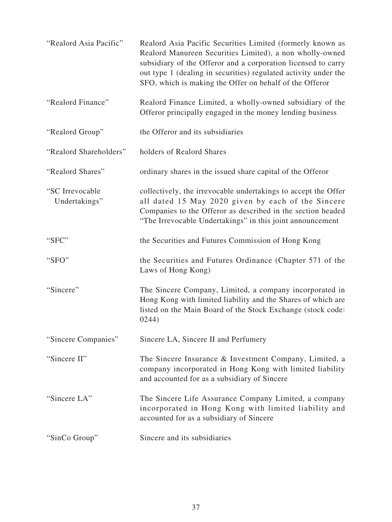| "Realord Asia Pacific"           | Realord Asia Pacific Securities Limited (formerly known as<br>Realord Manureen Securities Limited), a non wholly-owned<br>subsidiary of the Offeror and a corporation licensed to carry<br>out type 1 (dealing in securities) regulated activity under the<br>SFO, which is making the Offer on behalf of the Offeror |
|----------------------------------|-----------------------------------------------------------------------------------------------------------------------------------------------------------------------------------------------------------------------------------------------------------------------------------------------------------------------|
| "Realord Finance"                | Realord Finance Limited, a wholly-owned subsidiary of the<br>Offeror principally engaged in the money lending business                                                                                                                                                                                                |
| "Realord Group"                  | the Offeror and its subsidiaries                                                                                                                                                                                                                                                                                      |
| "Realord Shareholders"           | holders of Realord Shares                                                                                                                                                                                                                                                                                             |
| "Realord Shares"                 | ordinary shares in the issued share capital of the Offeror                                                                                                                                                                                                                                                            |
| "SC Irrevocable<br>Undertakings" | collectively, the irrevocable undertakings to accept the Offer<br>all dated 15 May 2020 given by each of the Sincere<br>Companies to the Offeror as described in the section headed<br>"The Irrevocable Undertakings" in this joint announcement                                                                      |
| "SFC"                            | the Securities and Futures Commission of Hong Kong                                                                                                                                                                                                                                                                    |
| "SFO"                            | the Securities and Futures Ordinance (Chapter 571 of the<br>Laws of Hong Kong)                                                                                                                                                                                                                                        |
| "Sincere"                        | The Sincere Company, Limited, a company incorporated in<br>Hong Kong with limited liability and the Shares of which are<br>listed on the Main Board of the Stock Exchange (stock code:<br>0244)                                                                                                                       |
| "Sincere Companies"              | Sincere LA, Sincere II and Perfumery                                                                                                                                                                                                                                                                                  |
| "Sincere II"                     | The Sincere Insurance & Investment Company, Limited, a<br>company incorporated in Hong Kong with limited liability<br>and accounted for as a subsidiary of Sincere                                                                                                                                                    |
| "Sincere LA"                     | The Sincere Life Assurance Company Limited, a company<br>incorporated in Hong Kong with limited liability and<br>accounted for as a subsidiary of Sincere                                                                                                                                                             |
| "SinCo Group"                    | Sincere and its subsidiaries                                                                                                                                                                                                                                                                                          |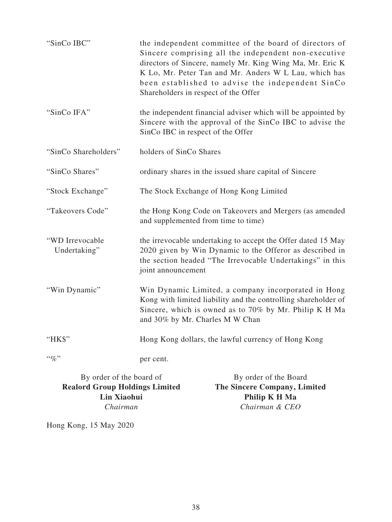| "SinCo IBC"                     | the independent committee of the board of directors of<br>Sincere comprising all the independent non-executive<br>directors of Sincere, namely Mr. King Wing Ma, Mr. Eric K<br>K Lo, Mr. Peter Tan and Mr. Anders W L Lau, which has<br>been established to advise the independent SinCo<br>Shareholders in respect of the Offer |
|---------------------------------|----------------------------------------------------------------------------------------------------------------------------------------------------------------------------------------------------------------------------------------------------------------------------------------------------------------------------------|
| "SinCo IFA"                     | the independent financial adviser which will be appointed by<br>Sincere with the approval of the SinCo IBC to advise the<br>SinCo IBC in respect of the Offer                                                                                                                                                                    |
| "SinCo Shareholders"            | holders of SinCo Shares                                                                                                                                                                                                                                                                                                          |
| "SinCo Shares"                  | ordinary shares in the issued share capital of Sincere                                                                                                                                                                                                                                                                           |
| "Stock Exchange"                | The Stock Exchange of Hong Kong Limited                                                                                                                                                                                                                                                                                          |
| "Takeovers Code"                | the Hong Kong Code on Takeovers and Mergers (as amended<br>and supplemented from time to time)                                                                                                                                                                                                                                   |
| "WD Irrevocable<br>Undertaking" | the irrevocable undertaking to accept the Offer dated 15 May<br>2020 given by Win Dynamic to the Offeror as described in<br>the section headed "The Irrevocable Undertakings" in this<br>joint announcement                                                                                                                      |
| "Win Dynamic"                   | Win Dynamic Limited, a company incorporated in Hong<br>Kong with limited liability and the controlling shareholder of<br>Sincere, which is owned as to 70% by Mr. Philip K H Ma<br>and 30% by Mr. Charles M W Chan                                                                                                               |
| "HK\$"                          | Hong Kong dollars, the lawful currency of Hong Kong                                                                                                                                                                                                                                                                              |
| $``\%"$                         | per cent.                                                                                                                                                                                                                                                                                                                        |

By order of the board of **Realord Group Holdings Limited Lin Xiaohui**  *Chairman*

By order of the Board **The Sincere Company, Limited Philip K H Ma**  *Chairman & CEO*

Hong Kong, 15 May 2020